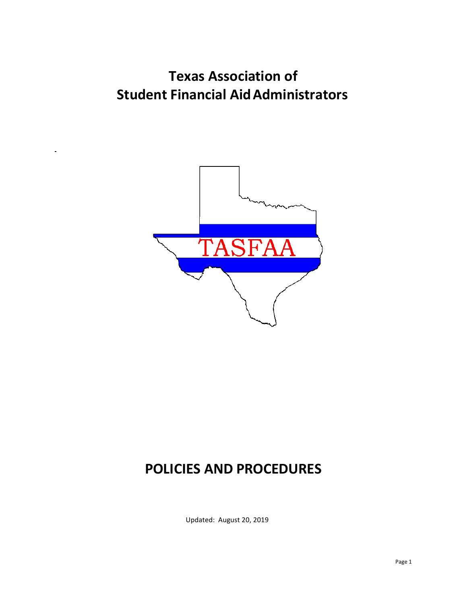# **Texas Association of Student Financial AidAdministrators**



# **POLICIES AND PROCEDURES**

Updated: August 20, 2019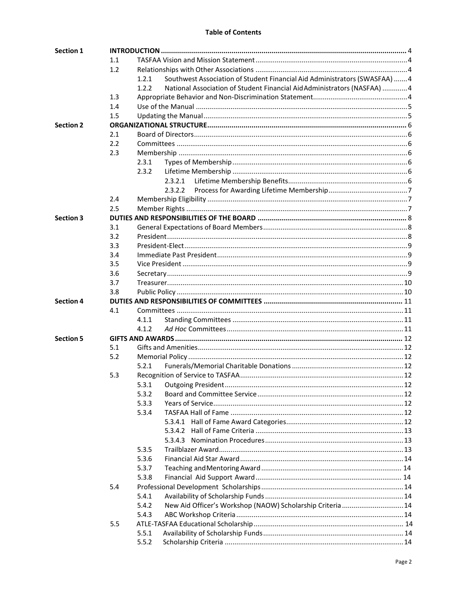#### **Table of Contents**

| <b>Section 1</b> |            |       |                                                                            |  |  |  |
|------------------|------------|-------|----------------------------------------------------------------------------|--|--|--|
|                  | $1.1\,$    |       |                                                                            |  |  |  |
|                  | 1.2        |       |                                                                            |  |  |  |
|                  |            | 1.2.1 | Southwest Association of Student Financial Aid Administrators (SWASFAA)  4 |  |  |  |
|                  |            | 1.2.2 | National Association of Student Financial Aid Administrators (NASFAA) 4    |  |  |  |
|                  | 1.3        |       |                                                                            |  |  |  |
|                  | 1.4        |       |                                                                            |  |  |  |
|                  | 1.5        |       |                                                                            |  |  |  |
| <b>Section 2</b> |            |       |                                                                            |  |  |  |
|                  | 2.1        |       |                                                                            |  |  |  |
|                  | 2.2        |       |                                                                            |  |  |  |
|                  | 2.3        |       |                                                                            |  |  |  |
|                  |            | 2.3.1 |                                                                            |  |  |  |
|                  |            | 2.3.2 |                                                                            |  |  |  |
|                  |            |       | 2.3.2.1                                                                    |  |  |  |
|                  |            |       | 2.3.2.2                                                                    |  |  |  |
|                  | 2.4        |       |                                                                            |  |  |  |
|                  | 2.5        |       |                                                                            |  |  |  |
| <b>Section 3</b> |            |       |                                                                            |  |  |  |
|                  | 3.1        |       |                                                                            |  |  |  |
|                  | 3.2        |       |                                                                            |  |  |  |
|                  | 3.3        |       |                                                                            |  |  |  |
|                  | 3.4        |       |                                                                            |  |  |  |
|                  | 3.5        |       |                                                                            |  |  |  |
|                  |            |       |                                                                            |  |  |  |
|                  | 3.6<br>3.7 |       |                                                                            |  |  |  |
|                  |            |       |                                                                            |  |  |  |
|                  | 3.8        |       |                                                                            |  |  |  |
| <b>Section 4</b> |            |       |                                                                            |  |  |  |
|                  | 4.1        |       |                                                                            |  |  |  |
|                  |            | 4.1.1 |                                                                            |  |  |  |
|                  |            | 4.1.2 |                                                                            |  |  |  |
| <b>Section 5</b> |            |       |                                                                            |  |  |  |
|                  | 5.1        |       |                                                                            |  |  |  |
|                  | 5.2        |       |                                                                            |  |  |  |
|                  |            | 5.2.1 |                                                                            |  |  |  |
|                  | 5.3        |       |                                                                            |  |  |  |
|                  |            | 5.3.1 |                                                                            |  |  |  |
|                  |            | 5.3.2 |                                                                            |  |  |  |
|                  |            | 5.3.3 |                                                                            |  |  |  |
|                  |            | 5.3.4 |                                                                            |  |  |  |
|                  |            |       |                                                                            |  |  |  |
|                  |            |       |                                                                            |  |  |  |
|                  |            |       |                                                                            |  |  |  |
|                  |            | 5.3.5 |                                                                            |  |  |  |
|                  |            | 5.3.6 |                                                                            |  |  |  |
|                  |            | 5.3.7 |                                                                            |  |  |  |
|                  |            | 5.3.8 |                                                                            |  |  |  |
|                  | 5.4        |       |                                                                            |  |  |  |
|                  |            | 5.4.1 |                                                                            |  |  |  |
|                  |            | 5.4.2 | New Aid Officer's Workshop (NAOW) Scholarship Criteria  14                 |  |  |  |
|                  |            | 5.4.3 |                                                                            |  |  |  |
|                  | 5.5        |       |                                                                            |  |  |  |
|                  |            | 5.5.1 |                                                                            |  |  |  |
|                  |            | 5.5.2 |                                                                            |  |  |  |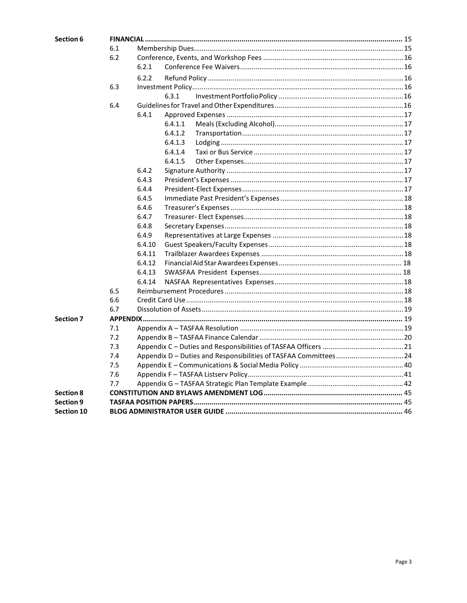| Section 6         |     |        |         |  |  |  |
|-------------------|-----|--------|---------|--|--|--|
|                   | 6.1 |        |         |  |  |  |
|                   | 6.2 |        |         |  |  |  |
|                   |     | 6.2.1  |         |  |  |  |
|                   |     | 6.2.2  |         |  |  |  |
|                   | 6.3 |        |         |  |  |  |
|                   |     |        | 6.3.1   |  |  |  |
|                   | 6.4 |        |         |  |  |  |
|                   |     | 6.4.1  |         |  |  |  |
|                   |     |        | 6.4.1.1 |  |  |  |
|                   |     |        | 6.4.1.2 |  |  |  |
|                   |     |        | 6.4.1.3 |  |  |  |
|                   |     |        | 6.4.1.4 |  |  |  |
|                   |     |        | 6.4.1.5 |  |  |  |
|                   |     | 6.4.2  |         |  |  |  |
|                   |     | 6.4.3  |         |  |  |  |
|                   |     | 6.4.4  |         |  |  |  |
|                   |     | 6.4.5  |         |  |  |  |
|                   |     | 6.4.6  |         |  |  |  |
|                   |     | 6.4.7  |         |  |  |  |
|                   |     | 6.4.8  |         |  |  |  |
|                   |     | 6.4.9  |         |  |  |  |
|                   |     | 6.4.10 |         |  |  |  |
|                   |     | 6.4.11 |         |  |  |  |
|                   |     | 6.4.12 |         |  |  |  |
|                   |     | 6.4.13 |         |  |  |  |
|                   |     | 6.4.14 |         |  |  |  |
|                   | 6.5 |        |         |  |  |  |
|                   | 6.6 |        |         |  |  |  |
|                   | 6.7 |        |         |  |  |  |
| <b>Section 7</b>  |     |        |         |  |  |  |
|                   | 7.1 |        |         |  |  |  |
|                   | 7.2 |        |         |  |  |  |
|                   | 7.3 |        |         |  |  |  |
|                   | 7.4 |        |         |  |  |  |
|                   | 7.5 |        |         |  |  |  |
|                   | 7.6 |        |         |  |  |  |
|                   | 7.7 |        |         |  |  |  |
| <b>Section 8</b>  |     |        |         |  |  |  |
| <b>Section 9</b>  |     |        |         |  |  |  |
| <b>Section 10</b> |     |        |         |  |  |  |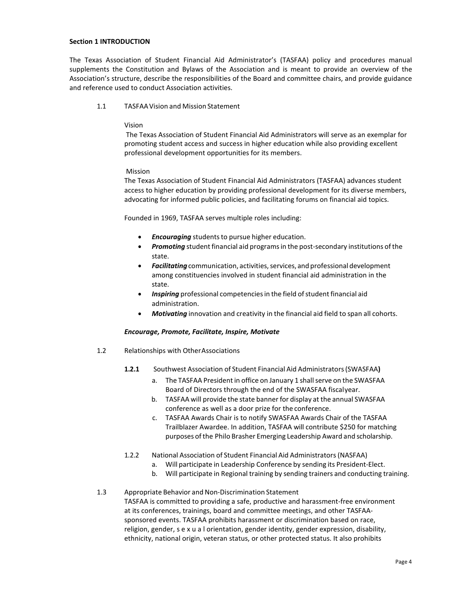#### <span id="page-3-0"></span>**Section 1 INTRODUCTION**

The Texas Association of Student Financial Aid Administrator's (TASFAA) policy and procedures manual supplements the Constitution and Bylaws of the Association and is meant to provide an overview of the Association's structure, describe the responsibilities of the Board and committee chairs, and provide guidance and reference used to conduct Association activities.

#### 1.1 TASFAAVision and Mission Statement

#### Vision

The Texas Association of Student Financial Aid Administrators will serve as an exemplar for promoting student access and success in higher education while also providing excellent professional development opportunities for its members.

#### Mission

The Texas Association of Student Financial Aid Administrators (TASFAA) advances student access to higher education by providing professional development for its diverse members, advocating for informed public policies, and facilitating forums on financial aid topics.

Founded in 1969, TASFAA serves multiple roles including:

- **Encouraging** students to pursue higher education.
- **Promoting** student financial aid programs in the post-secondary institutions of the state.
- **Facilitating** communication, activities, services, and professional development among constituencies involved in student financial aid administration in the state.
- **Inspiring** professional competencies in the field of student financial aid administration.
- *Motivating* innovation and creativity in the financial aid field to span all cohorts.

#### *Encourage, Promote, Facilitate, Inspire, Motivate*

- 1.2 Relationships with OtherAssociations
	- **1.2.1** Southwest Association of Student Financial Aid Administrators(SWASFAA**)**
		- a. The TASFAA President in office on January 1 shall serve on the SWASFAA Board of Directors through the end of the SWASFAA fiscalyear.
		- b. TASFAA will provide the state banner for display at the annual SWASFAA conference as well as a door prize for the conference.
		- c. TASFAA Awards Chair is to notify SWASFAA Awards Chair of the TASFAA Trailblazer Awardee. In addition, TASFAA will contribute \$250 for matching purposes ofthe Philo Brasher Emerging Leadership Award and scholarship.
	- 1.2.2 National Association of Student Financial Aid Administrators (NASFAA)
		- a. Will participate in Leadership Conference by sending its President-Elect.
			- b. Will participate in Regional training by sending trainers and conducting training.
- 1.3 Appropriate Behavior and Non-Discrimination Statement TASFAA is committed to providing a safe, productive and harassment-free environment at its conferences, trainings, board and committee meetings, and other TASFAAsponsored events. TASFAA prohibits harassment or discrimination based on race, religion, gender, s e x u a l orientation, gender identity, gender expression, disability, ethnicity, national origin, veteran status, or other protected status. It also prohibits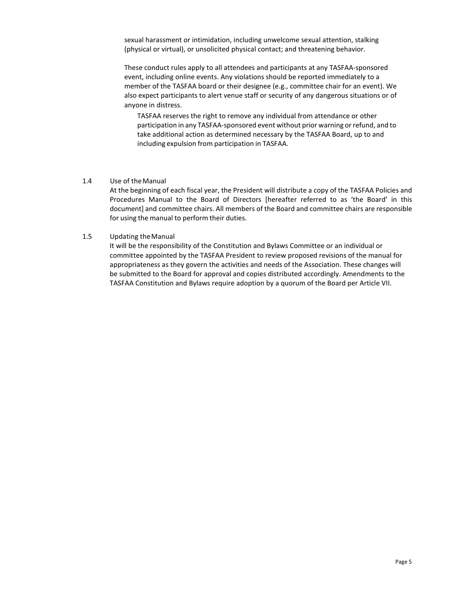sexual harassment or intimidation, including unwelcome sexual attention, stalking (physical or virtual), or unsolicited physical contact; and threatening behavior.

These conduct rules apply to all attendees and participants at any TASFAA-sponsored event, including online events. Any violations should be reported immediately to a member of the TASFAA board or their designee (e.g., committee chair for an event). We also expect participants to alert venue staff or security of any dangerous situations or of anyone in distress.

TASFAA reserves the right to remove any individual from attendance or other participation in any TASFAA-sponsored event without prior warning or refund, and to take additional action as determined necessary by the TASFAA Board, up to and including expulsion from participation in TASFAA.

#### 1.4 Use of theManual

At the beginning of each fiscal year, the President will distribute a copy of the TASFAA Policies and Procedures Manual to the Board of Directors [hereafter referred to as 'the Board' in this document] and committee chairs. All members of the Board and committee chairs are responsible for using the manual to perform their duties.

#### 1.5 Updating theManual

It will be the responsibility of the Constitution and Bylaws Committee or an individual or committee appointed by the TASFAA President to review proposed revisions of the manual for appropriateness as they govern the activities and needs of the Association. These changes will be submitted to the Board for approval and copies distributed accordingly. Amendments to the TASFAA Constitution and Bylaws require adoption by a quorum of the Board per Article VII.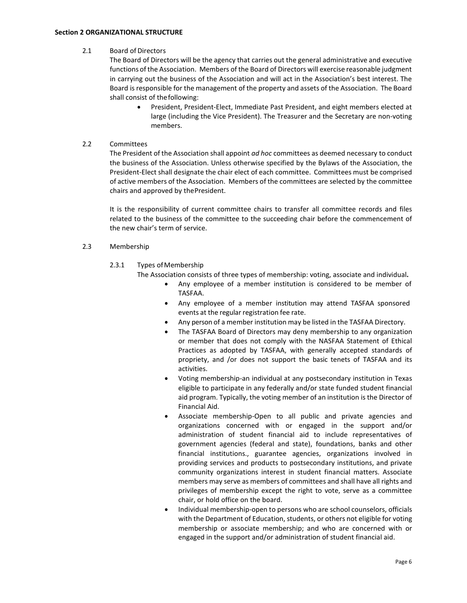# <span id="page-5-0"></span>2.1 Board of Directors

The Board of Directors will be the agency that carries out the general administrative and executive functions of the Association. Members of the Board of Directors will exercise reasonable judgment in carrying out the business of the Association and will act in the Association's best interest. The Board is responsible for the management of the property and assets of the Association. The Board shall consist of thefollowing:

• President, President-Elect, Immediate Past President, and eight members elected at large (including the Vice President). The Treasurer and the Secretary are non-voting members.

# 2.2 Committees

The President of the Association shall appoint *ad hoc* committees as deemed necessary to conduct the business of the Association. Unless otherwise specified by the Bylaws of the Association, the President-Elect shall designate the chair elect of each committee. Committees must be comprised of active members of the Association. Members of the committees are selected by the committee chairs and approved by thePresident.

It is the responsibility of current committee chairs to transfer all committee records and files related to the business of the committee to the succeeding chair before the commencement of the new chair's term of service.

# 2.3 Membership

# 2.3.1 Types of Membership

The Association consists of three types of membership: voting, associate and individual**.**

- Any employee of a member institution is considered to be member of TASFAA.
- Any employee of a member institution may attend TASFAA sponsored events at the regular registration fee rate.
- Any person of a member institution may be listed in the TASFAA Directory.
- The TASFAA Board of Directors may deny membership to any organization or member that does not comply with the NASFAA Statement of Ethical Practices as adopted by TASFAA, with generally accepted standards of propriety, and /or does not support the basic tenets of TASFAA and its activities.
- Voting membership-an individual at any postsecondary institution in Texas eligible to participate in any federally and/or state funded student financial aid program. Typically, the voting member of an institution is the Director of Financial Aid.
- Associate membership-Open to all public and private agencies and organizations concerned with or engaged in the support and/or administration of student financial aid to include representatives of government agencies (federal and state), foundations, banks and other financial institutions., guarantee agencies, organizations involved in providing services and products to postsecondary institutions, and private community organizations interest in student financial matters. Associate members may serve as members of committees and shall have all rights and privileges of membership except the right to vote, serve as a committee chair, or hold office on the board.
- Individual membership-open to persons who are school counselors, officials with the Department of Education, students, or others not eligible for voting membership or associate membership; and who are concerned with or engaged in the support and/or administration of student financial aid.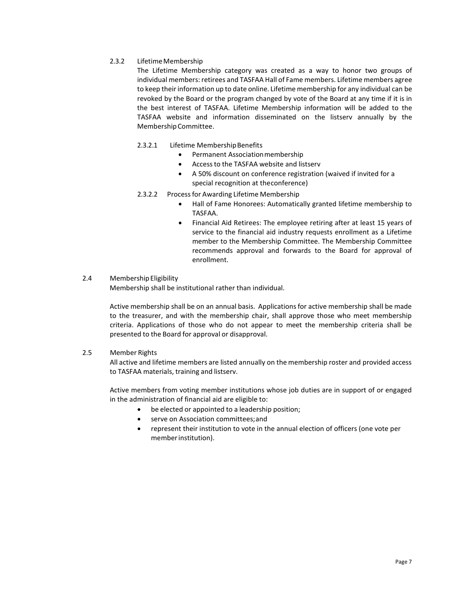# 2.3.2 Lifetime Membership

The Lifetime Membership category was created as a way to honor two groups of individual members: retirees and TASFAA Hall of Fame members. Lifetime members agree to keep theirinformation up to date online. Lifetime membership for any individual can be revoked by the Board or the program changed by vote of the Board at any time if it is in the best interest of TASFAA. Lifetime Membership information will be added to the TASFAA website and information disseminated on the listserv annually by the Membership Committee.

# 2.3.2.1 Lifetime Membership Benefits

- Permanent Association membership
- Accessto the TASFAA website and listserv
- A 50% discount on conference registration (waived if invited for a special recognition at theconference)
- 2.3.2.2 Processfor Awarding Lifetime Membership
	- Hall of Fame Honorees: Automatically granted lifetime membership to TASFAA.
	- Financial Aid Retirees: The employee retiring after at least 15 years of service to the financial aid industry requests enrollment as a Lifetime member to the Membership Committee. The Membership Committee recommends approval and forwards to the Board for approval of enrollment.

# 2.4 MembershipEligibility

Membership shall be institutional rather than individual.

Active membership shall be on an annual basis. Applicationsfor active membership shall be made to the treasurer, and with the membership chair, shall approve those who meet membership criteria. Applications of those who do not appear to meet the membership criteria shall be presented to the Board for approval or disapproval.

# 2.5 Member Rights

All active and lifetime members are listed annually on the membership roster and provided access to TASFAA materials, training and listserv.

Active members from voting member institutions whose job duties are in support of or engaged in the administration of financial aid are eligible to:

- be elected or appointed to a leadership position;
- serve on Association committees; and
- represent their institution to vote in the annual election of officers (one vote per memberinstitution).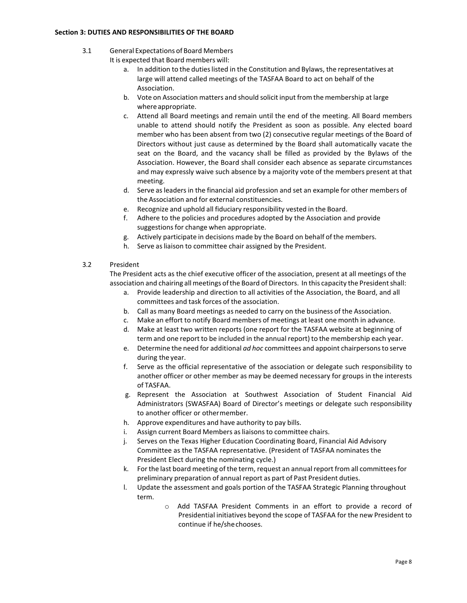#### <span id="page-7-0"></span>**Section 3: DUTIES AND RESPONSIBILITIES OF THE BOARD**

3.1 General Expectations of Board Members

It is expected that Board members will:

- a. In addition to the duties listed in the Constitution and Bylaws, the representatives at large will attend called meetings of the TASFAA Board to act on behalf of the Association.
- b. Vote on Association matters and should solicit input from the membership at large where appropriate.
- c. Attend all Board meetings and remain until the end of the meeting. All Board members unable to attend should notify the President as soon as possible. Any elected board member who has been absent from two (2) consecutive regular meetings of the Board of Directors without just cause as determined by the Board shall automatically vacate the seat on the Board, and the vacancy shall be filled as provided by the Bylaws of the Association. However, the Board shall consider each absence as separate circumstances and may expressly waive such absence by a majority vote of the members present at that meeting.
- d. Serve asleadersin the financial aid profession and set an example for other members of the Association and for external constituencies.
- e. Recognize and uphold all fiduciary responsibility vested in the Board.
- f. Adhere to the policies and procedures adopted by the Association and provide suggestions for change when appropriate.
- g. Actively participate in decisions made by the Board on behalf of the members.
- h. Serve as liaison to committee chair assigned by the President.

# 3.2 President

The President acts as the chief executive officer of the association, present at all meetings of the association and chairing allmeetings ofthe Board of Directors. In this capacity the Presidentshall:

- a. Provide leadership and direction to all activities of the Association, the Board, and all committees and task forces of the association.
- b. Call as many Board meetings as needed to carry on the business of the Association.
- c. Make an effort to notify Board members of meetings at least one month in advance.
- d. Make at least two written reports (one report for the TASFAA website at beginning of term and one report to be included in the annual report) to the membership each year.
- e. Determine the need for additional *ad hoc* committees and appoint chairpersonsto serve during the year.
- f. Serve as the official representative of the association or delegate such responsibility to another officer or other member as may be deemed necessary for groups in the interests of TASFAA.
- g. Represent the Association at Southwest Association of Student Financial Aid Administrators (SWASFAA) Board of Director's meetings or delegate such responsibility to another officer or othermember.
- h. Approve expenditures and have authority to pay bills.
- i. Assign current Board Members as liaisons to committee chairs.
- j. Serves on the Texas Higher Education Coordinating Board, Financial Aid Advisory Committee as the TASFAA representative. (President of TASFAA nominates the President Elect during the nominating cycle.)
- k. Forthe last board meeting of the term, request an annualreport from all committeesfor preliminary preparation of annual report as part of Past President duties.
- l. Update the assessment and goals portion of the TASFAA Strategic Planning throughout term.
	- o Add TASFAA President Comments in an effort to provide a record of Presidential initiatives beyond the scope of TASFAA for the new President to continue if he/shechooses.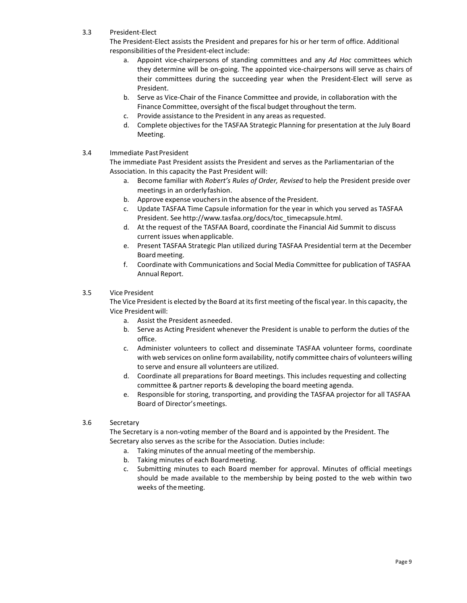3.3 President-Elect

The President-Elect assists the President and prepares for his or her term of office. Additional responsibilities of the President-elect include:

- a. Appoint vice-chairpersons of standing committees and any *Ad Hoc* committees which they determine will be on-going. The appointed vice-chairpersons will serve as chairs of their committees during the succeeding year when the President-Elect will serve as President.
- b. Serve as Vice-Chair of the Finance Committee and provide, in collaboration with the Finance Committee, oversight of the fiscal budget throughout the term.
- c. Provide assistance to the President in any areas as requested.
- d. Complete objectives for the TASFAA Strategic Planning for presentation at the July Board Meeting.
- 3.4 Immediate PastPresident

The immediate Past President assists the President and serves as the Parliamentarian of the Association. In this capacity the Past President will:

- a. Become familiar with *Robert's Rules of Order, Revised* to help the President preside over meetings in an orderlyfashion.
- b. Approve expense vouchersin the absence of the President.
- c. Update TASFAA Time Capsule information for the year in which you served as TASFAA President. See [http://www.tasfaa.org/docs/toc\\_timecapsule.html.](http://www.tasfaa.org/docs/toc_timecapsule.html)
- d. At the request of the TASFAA Board, coordinate the Financial Aid Summit to discuss current issues whenapplicable.
- e. Present TASFAA Strategic Plan utilized during TASFAA Presidential term at the December Board meeting.
- f. Coordinate with Communications and Social Media Committee for publication of TASFAA Annual Report.

# 3.5 Vice President

The Vice President is elected by the Board at its first meeting of the fiscal year. In this capacity, the Vice President will:

- a. Assist the President asneeded.
- b. Serve as Acting President whenever the President is unable to perform the duties of the office.
- c. Administer volunteers to collect and disseminate TASFAA volunteer forms, coordinate with web services on online formavailability, notify committee chairs of volunteers willing to serve and ensure all volunteers are utilized.
- d. Coordinate all preparations for Board meetings. This includes requesting and collecting committee & partner reports & developing the board meeting agenda.
- e. Responsible for storing, transporting, and providing the TASFAA projector for all TASFAA Board of Director'smeetings.
- 3.6 Secretary

The Secretary is a non-voting member of the Board and is appointed by the President. The Secretary also serves as the scribe for the Association. Duties include:

- a. Taking minutes of the annual meeting of the membership.
- b. Taking minutes of each Boardmeeting.
- c. Submitting minutes to each Board member for approval. Minutes of official meetings should be made available to the membership by being posted to the web within two weeks of themeeting.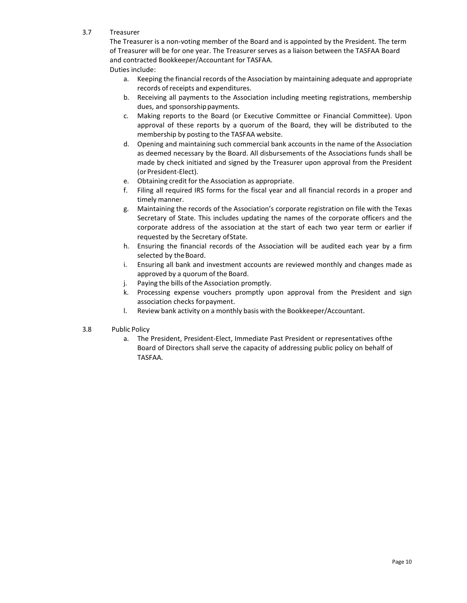3.7 Treasurer

The Treasurer is a non-voting member of the Board and is appointed by the President. The term of Treasurer will be for one year. The Treasurer serves as a liaison between the TASFAA Board and contracted Bookkeeper/Accountant for TASFAA.

- Duties include:
	- a. Keeping the financial records of the Association by maintaining adequate and appropriate records of receipts and expenditures.
	- b. Receiving all payments to the Association including meeting registrations, membership dues, and sponsorship payments.
	- c. Making reports to the Board (or Executive Committee or Financial Committee). Upon approval of these reports by a quorum of the Board, they will be distributed to the membership by posting to the TASFAA website.
	- d. Opening and maintaining such commercial bank accounts in the name of the Association as deemed necessary by the Board. All disbursements of the Associations funds shall be made by check initiated and signed by the Treasurer upon approval from the President (or President-Elect).
	- e. Obtaining credit for the Association as appropriate.
	- f. Filing all required IRS forms for the fiscal year and all financial records in a proper and timely manner.
	- g. Maintaining the records of the Association's corporate registration on file with the Texas Secretary of State. This includes updating the names of the corporate officers and the corporate address of the association at the start of each two year term or earlier if requested by the Secretary ofState.
	- h. Ensuring the financial records of the Association will be audited each year by a firm selected by the Board.
	- i. Ensuring all bank and investment accounts are reviewed monthly and changes made as approved by a quorum of the Board.
	- j. Paying the bills of the Association promptly.
	- k. Processing expense vouchers promptly upon approval from the President and sign association checks forpayment.
	- l. Review bank activity on a monthly basis with the Bookkeeper/Accountant.
- 3.8 Public Policy
	- a. The President, President-Elect, Immediate Past President or representatives ofthe Board of Directors shall serve the capacity of addressing public policy on behalf of TASFAA.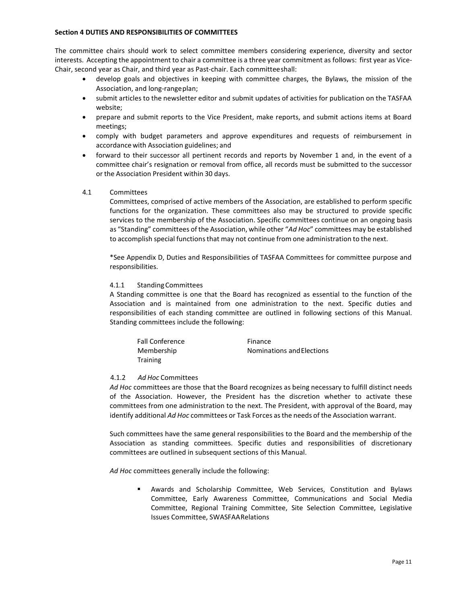#### <span id="page-10-0"></span>**Section 4 DUTIES AND RESPONSIBILITIES OF COMMITTEES**

The committee chairs should work to select committee members considering experience, diversity and sector interests. Accepting the appointment to chair a committee is a three year commitment as follows: first year as Vice-Chair, second year as Chair, and third year as Past-chair. Each committeeshall:

- develop goals and objectives in keeping with committee charges, the Bylaws, the mission of the Association, and long-rangeplan;
- submit articles to the newsletter editor and submit updates of activities for publication on the TASFAA website;
- prepare and submit reports to the Vice President, make reports, and submit actions items at Board meetings;
- comply with budget parameters and approve expenditures and requests of reimbursement in accordance with Association guidelines; and
- forward to their successor all pertinent records and reports by November 1 and, in the event of a committee chair's resignation or removal from office, all records must be submitted to the successor or the Association President within 30 days.

#### 4.1 Committees

Committees, comprised of active members of the Association, are established to perform specific functions for the organization. These committees also may be structured to provide specific services to the membership of the Association. Specific committees continue on an ongoing basis as "Standing" committees of the Association, while other "*Ad Hoc*" committees may be established to accomplish special functions that may not continue from one administration to the next.

\*See Appendix D, Duties and Responsibilities of TASFAA Committees for committee purpose and responsibilities.

#### 4.1.1 StandingCommittees

A Standing committee is one that the Board has recognized as essential to the function of the Association and is maintained from one administration to the next. Specific duties and responsibilities of each standing committee are outlined in following sections of this Manual. Standing committees include the following:

| <b>Fall Conference</b> | Finance                   |
|------------------------|---------------------------|
| Membership             | Nominations and Elections |
| Training               |                           |

#### 4.1.2 *Ad Hoc* Committees

*Ad Hoc* committees are those that the Board recognizes as being necessary to fulfill distinct needs of the Association. However, the President has the discretion whether to activate these committees from one administration to the next. The President, with approval of the Board, may identify additional *Ad Hoc* committees or Task Forces asthe needs of the Association warrant.

Such committees have the same general responsibilities to the Board and the membership of the Association as standing committees. Specific duties and responsibilities of discretionary committees are outlined in subsequent sections of this Manual.

*Ad Hoc* committees generally include the following:

 Awards and Scholarship Committee, Web Services, Constitution and Bylaws Committee, Early Awareness Committee, Communications and Social Media Committee, Regional Training Committee, Site Selection Committee, Legislative Issues Committee, SWASFAARelations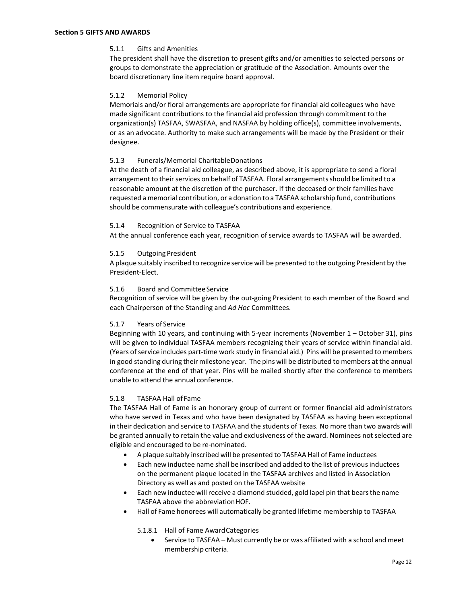#### <span id="page-11-0"></span>5.1.1 Gifts and Amenities

The president shall have the discretion to present gifts and/or amenities to selected persons or groups to demonstrate the appreciation or gratitude of the Association. Amounts over the board discretionary line item require board approval.

#### 5.1.2 Memorial Policy

Memorials and/or floral arrangements are appropriate for financial aid colleagues who have made significant contributions to the financial aid profession through commitment to the organization(s) TASFAA, SWASFAA, and NASFAA by holding office(s), committee involvements, or as an advocate. Authority to make such arrangements will be made by the President or their designee.

#### 5.1.3 Funerals/Memorial CharitableDonations

At the death of a financial aid colleague, as described above, it is appropriate to send a floral arrangement to their services on behalf of TASFAA. Floral arrangements should be limited to a reasonable amount at the discretion of the purchaser. If the deceased or their families have requested a memorial contribution, or a donation to a TASFAA scholarship fund, contributions should be commensurate with colleague's contributions and experience.

#### 5.1.4 Recognition of Service to TASFAA

At the annual conference each year, recognition of service awards to TASFAA will be awarded.

#### 5.1.5 Outgoing President

A plaque suitably inscribed to recognize service will be presented to the outgoing President by the President-Elect.

#### 5.1.6 Board and CommitteeService

Recognition of service will be given by the out-going President to each member of the Board and each Chairperson of the Standing and *Ad Hoc* Committees.

#### 5.1.7 Years of Service

Beginning with 10 years, and continuing with 5-year increments (November 1 – October 31), pins will be given to individual TASFAA members recognizing their years of service within financial aid. (Years of service includes part-time work study in financial aid.) Pins will be presented to members in good standing during their milestone year. The pins will be distributed to members at the annual conference at the end of that year. Pins will be mailed shortly after the conference to members unable to attend the annual conference.

# 5.1.8 TASFAA Hall of Fame

The TASFAA Hall of Fame is an honorary group of current or former financial aid administrators who have served in Texas and who have been designated by TASFAA as having been exceptional in their dedication and service to TASFAA and the students of Texas. No more than two awards will be granted annually to retain the value and exclusiveness of the award. Nominees not selected are eligible and encouraged to be re-nominated.

- A plaque suitably inscribed will be presented to TASFAA Hall of Fame inductees
- Each new inductee name shall be inscribed and added to the list of previousinductees on the permanent plaque located in the TASFAA archives and listed in Association Directory as well as and posted on the TASFAA website
- Each new inductee will receive a diamond studded, gold lapel pin that bearsthe name TASFAA above the abbreviationHOF.
- Hall of Fame honorees will automatically be granted lifetime membership to TASFAA

5.1.8.1 Hall of Fame AwardCategories

• Service to TASFAA – Must currently be or was affiliated with a school and meet membership criteria.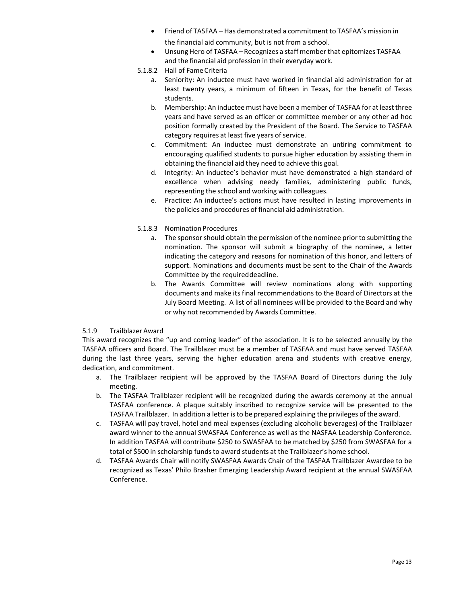- Friend of TASFAA Has demonstrated a commitment to TASFAA's mission in the financial aid community, but is not from a school.
- Unsung Hero of TASFAA Recognizes a staff member that epitomizes TASFAA and the financial aid profession in their everyday work.
- 5.1.8.2 Hall of FameCriteria
	- a. Seniority: An inductee must have worked in financial aid administration for at least twenty years, a minimum of fifteen in Texas, for the benefit of Texas students.
	- b. Membership: An inductee must have been a member of TASFAA for at least three years and have served as an officer or committee member or any other ad hoc position formally created by the President of the Board. The Service to TASFAA category requires at least five years of service.
	- c. Commitment: An inductee must demonstrate an untiring commitment to encouraging qualified students to pursue higher education by assisting them in obtaining the financial aid they need to achieve this goal.
	- d. Integrity: An inductee's behavior must have demonstrated a high standard of excellence when advising needy families, administering public funds, representing the school and working with colleagues.
	- e. Practice: An inductee's actions must have resulted in lasting improvements in the policies and procedures of financial aid administration.
- 5.1.8.3 Nomination Procedures
	- a. The sponsor should obtain the permission of the nominee prior to submitting the nomination. The sponsor will submit a biography of the nominee, a letter indicating the category and reasons for nomination of this honor, and letters of support. Nominations and documents must be sent to the Chair of the Awards Committee by the requireddeadline.
	- b. The Awards Committee will review nominations along with supporting documents and make its final recommendations to the Board of Directors at the July Board Meeting. A list of all nominees will be provided to the Board and why or why not recommended by Awards Committee.

# 5.1.9 Trailblazer Award

This award recognizes the "up and coming leader" of the association. It is to be selected annually by the TASFAA officers and Board. The Trailblazer must be a member of TASFAA and must have served TASFAA during the last three years, serving the higher education arena and students with creative energy, dedication, and commitment.

- a. The Trailblazer recipient will be approved by the TASFAA Board of Directors during the July meeting.
- b. The TASFAA Trailblazer recipient will be recognized during the awards ceremony at the annual TASFAA conference. A plaque suitably inscribed to recognize service will be presented to the TASFAA Trailblazer. In addition a letter isto be prepared explaining the privileges of the award.
- c. TASFAA will pay travel, hotel and meal expenses (excluding alcoholic beverages) of the Trailblazer award winner to the annual SWASFAA Conference as well as the NASFAA Leadership Conference. In addition TASFAA will contribute \$250 to SWASFAA to be matched by \$250 from SWASFAA for a total of \$500 in scholarship funds to award students at the Trailblazer's home school.
- d. TASFAA Awards Chair will notify SWASFAA Awards Chair of the TASFAA Trailblazer Awardee to be recognized as Texas' Philo Brasher Emerging Leadership Award recipient at the annual SWASFAA Conference.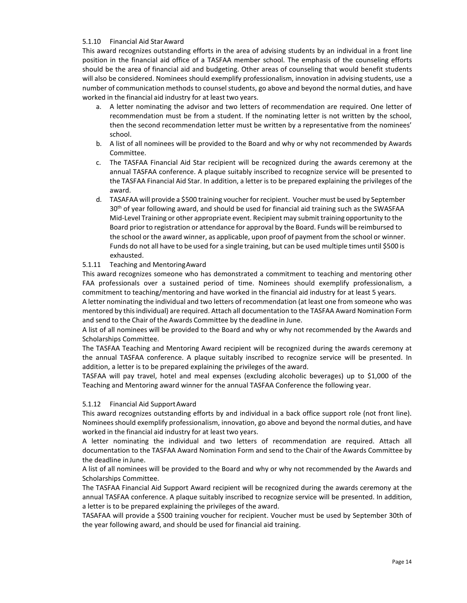# 5.1.10 Financial Aid StarAward

This award recognizes outstanding efforts in the area of advising students by an individual in a front line position in the financial aid office of a TASFAA member school. The emphasis of the counseling efforts should be the area of financial aid and budgeting. Other areas of counseling that would benefit students will also be considered. Nominees should exemplify professionalism, innovation in advising students, use a number of communication methods to counsel students, go above and beyond the normal duties, and have worked in the financial aid industry for at least two years.

- a. A letter nominating the advisor and two letters of recommendation are required. One letter of recommendation must be from a student. If the nominating letter is not written by the school, then the second recommendation letter must be written by a representative from the nominees' school.
- b. A list of all nominees will be provided to the Board and why or why not recommended by Awards Committee.
- c. The TASFAA Financial Aid Star recipient will be recognized during the awards ceremony at the annual TASFAA conference. A plaque suitably inscribed to recognize service will be presented to the TASFAA Financial Aid Star. In addition, a letter is to be prepared explaining the privileges of the award.
- d. TASAFAA will provide a \$500 training voucher for recipient. Voucher must be used by September 30<sup>th</sup> of year following award, and should be used for financial aid training such as the SWASFAA Mid-Level Training or other appropriate event. Recipient may submit training opportunity to the Board prior to registration or attendance for approval by the Board. Funds will be reimbursed to the school or the award winner, as applicable, upon proof of payment from the school or winner. Funds do not all have to be used for a single training, but can be used multiple times until \$500 is exhausted.

# 5.1.11 Teaching and MentoringAward

This award recognizes someone who has demonstrated a commitment to teaching and mentoring other FAA professionals over a sustained period of time. Nominees should exemplify professionalism, a commitment to teaching/mentoring and have worked in the financial aid industry for at least 5 years.

A letter nominating the individual and two letters of recommendation (at least one from someone who was mentored by this individual) are required. Attach all documentation to the TASFAA Award Nomination Form and send to the Chair of the Awards Committee by the deadline in June.

A list of all nominees will be provided to the Board and why or why not recommended by the Awards and Scholarships Committee.

The TASFAA Teaching and Mentoring Award recipient will be recognized during the awards ceremony at the annual TASFAA conference. A plaque suitably inscribed to recognize service will be presented. In addition, a letter is to be prepared explaining the privileges of the award.

TASFAA will pay travel, hotel and meal expenses (excluding alcoholic beverages) up to \$1,000 of the Teaching and Mentoring award winner for the annual TASFAA Conference the following year.

# 5.1.12 Financial Aid SupportAward

This award recognizes outstanding efforts by and individual in a back office support role (not front line). Nomineesshould exemplify professionalism, innovation, go above and beyond the normal duties, and have worked in the financial aid industry for at least two years.

A letter nominating the individual and two letters of recommendation are required. Attach all documentation to the TASFAA Award Nomination Form and send to the Chair of the Awards Committee by the deadline inJune.

A list of all nominees will be provided to the Board and why or why not recommended by the Awards and Scholarships Committee.

The TASFAA Financial Aid Support Award recipient will be recognized during the awards ceremony at the annual TASFAA conference. A plaque suitably inscribed to recognize service will be presented. In addition, a letter is to be prepared explaining the privileges of the award.

TASAFAA will provide a \$500 training voucher for recipient. Voucher must be used by September 30th of the year following award, and should be used for financial aid training.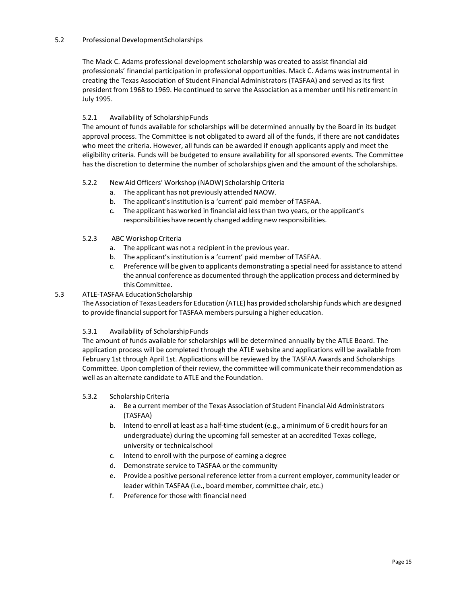# 5.2 Professional DevelopmentScholarships

The Mack C. Adams professional development scholarship was created to assist financial aid professionals' financial participation in professional opportunities. Mack C. Adams was instrumental in creating the Texas Association of Student Financial Administrators (TASFAA) and served as its first president from 1968 to 1969. He continued to serve the Association as a member until hisretirement in July 1995.

# 5.2.1 Availability of ScholarshipFunds

The amount of funds available for scholarships will be determined annually by the Board in its budget approval process. The Committee is not obligated to award all of the funds, if there are not candidates who meet the criteria. However, all funds can be awarded if enough applicants apply and meet the eligibility criteria. Funds will be budgeted to ensure availability for all sponsored events. The Committee has the discretion to determine the number of scholarships given and the amount of the scholarships.

# 5.2.2 New Aid Officers' Workshop (NAOW) Scholarship Criteria

- a. The applicant has not previously attended NAOW.
- b. The applicant's institution is a 'current' paid member of TASFAA.
- c. The applicant has worked in financial aid lessthan two years, or the applicant's responsibilities have recently changed adding new responsibilities.

# 5.2.3 ABC Workshop Criteria

- a. The applicant was not a recipient in the previous year.
- b. The applicant's institution is a 'current' paid member of TASFAA.
- c. Preference will be given to applicants demonstrating a special need for assistance to attend the annual conference as documented through the application process and determined by this Committee.

# 5.3 ATLE-TASFAA EducationScholarship

The Association of Texas Leadersfor Education (ATLE) has provided scholarship funds which are designed to provide financial support for TASFAA members pursuing a higher education.

# 5.3.1 Availability of ScholarshipFunds

The amount of funds available for scholarships will be determined annually by the ATLE Board. The application process will be completed through the ATLE website and applications will be available from February 1st through April 1st. Applications will be reviewed by the TASFAA Awards and Scholarships Committee. Upon completion of their review, the committee will communicate their recommendation as well as an alternate candidate to ATLE and the Foundation.

# 5.3.2 Scholarship Criteria

- a. Be a current member ofthe Texas Association of Student Financial Aid Administrators (TASFAA)
- b. Intend to enroll at least as a half-time student (e.g., a minimum of 6 credit hours for an undergraduate) during the upcoming fall semester at an accredited Texas college, university or technicalschool
- c. Intend to enroll with the purpose of earning a degree
- d. Demonstrate service to TASFAA or the community
- e. Provide a positive personal reference letter from a current employer, community leader or leader within TASFAA (i.e., board member, committee chair, etc.)
- <span id="page-14-0"></span>f. Preference for those with financial need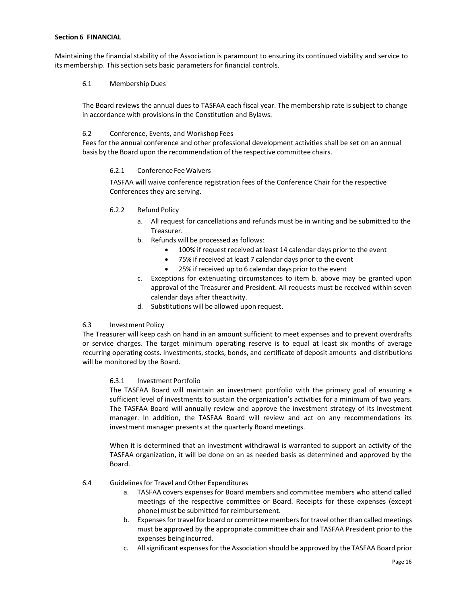#### **Section 6 FINANCIAL**

Maintaining the financial stability of the Association is paramount to ensuring its continued viability and service to its membership. This section sets basic parameters for financial controls.

# 6.1 MembershipDues

The Board reviews the annual dues to TASFAA each fiscal year. The membership rate is subject to change in accordance with provisions in the Constitution and Bylaws.

# 6.2 Conference, Events, and WorkshopFees

Fees for the annual conference and other professional development activities shall be set on an annual basis by the Board upon the recommendation of the respective committee chairs.

# 6.2.1 ConferenceFeeWaivers

TASFAA will waive conference registration fees of the Conference Chair for the respective Conferences they are serving.

# 6.2.2 Refund Policy

- a. All request for cancellations and refunds must be in writing and be submitted to the Treasurer.
- b. Refunds will be processed as follows:
	- 100% if request received at least 14 calendar days prior to the event
	- 75% if received at least 7 calendar days prior to the event
	- 25% if received up to 6 calendar days prior to the event
- c. Exceptions for extenuating circumstances to item b. above may be granted upon approval of the Treasurer and President. All requests must be received within seven calendar days after theactivity.
- d. Substitutions will be allowed upon request.

#### 6.3 Investment Policy

The Treasurer will keep cash on hand in an amount sufficient to meet expenses and to prevent overdrafts or service charges. The target minimum operating reserve is to equal at least six months of average recurring operating costs. Investments, stocks, bonds, and certificate of deposit amounts and distributions will be monitored by the Board.

#### 6.3.1 Investment Portfolio

The TASFAA Board will maintain an investment portfolio with the primary goal of ensuring a sufficient level of investments to sustain the organization's activities for a minimum of two years. The TASFAA Board will annually review and approve the investment strategy of its investment manager. In addition, the TASFAA Board will review and act on any recommendations its investment manager presents at the quarterly Board meetings.

When it is determined that an investment withdrawal is warranted to support an activity of the TASFAA organization, it will be done on an as needed basis as determined and approved by the Board.

#### 6.4 Guidelinesfor Travel and Other Expenditures

- a. TASFAA covers expenses for Board members and committee members who attend called meetings of the respective committee or Board. Receipts for these expenses (except phone) must be submitted for reimbursement.
- b. Expensesfortravel for board or committee membersfor travel other than called meetings must be approved by the appropriate committee chair and TASFAA President prior to the expenses beingincurred.
- c. Allsignificant expensesfor the Association should be approved by the TASFAA Board prior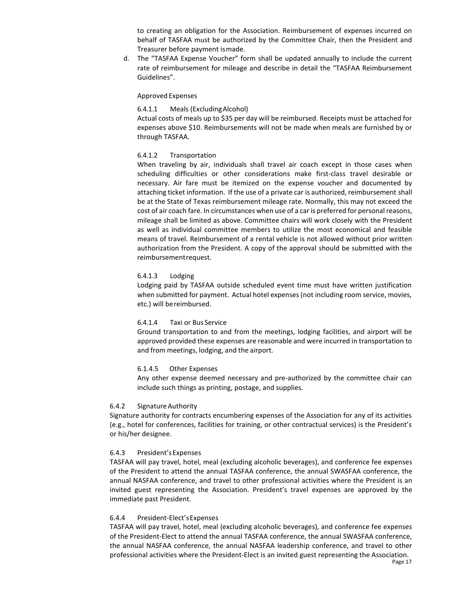to creating an obligation for the Association. Reimbursement of expenses incurred on behalf of TASFAA must be authorized by the Committee Chair, then the President and Treasurer before payment ismade.

d. The "TASFAA Expense Voucher" form shall be updated annually to include the current rate of reimbursement for mileage and describe in detail the "TASFAA Reimbursement Guidelines".

#### Approved Expenses

# 6.4.1.1 Meals (ExcludingAlcohol)

Actual costs of meals up to \$35 per day will be reimbursed. Receipts must be attached for expenses above \$10. Reimbursements will not be made when meals are furnished by or through TASFAA.

# 6.4.1.2 Transportation

When traveling by air, individuals shall travel air coach except in those cases when scheduling difficulties or other considerations make first-class travel desirable or necessary. Air fare must be itemized on the expense voucher and documented by attaching ticket information. If the use of a private car is authorized, reimbursement shall be at the State of Texas reimbursement mileage rate. Normally, this may not exceed the cost of air coach fare. In circumstances when use of a car is preferred for personal reasons, mileage shall be limited as above. Committee chairs will work closely with the President as well as individual committee members to utilize the most economical and feasible means of travel. Reimbursement of a rental vehicle is not allowed without prior written authorization from the President. A copy of the approval should be submitted with the reimbursementrequest.

# 6.4.1.3 Lodging

Lodging paid by TASFAA outside scheduled event time must have written justification when submitted for payment. Actual hotel expenses(not including room service, movies, etc.) will bereimbursed.

#### 6.4.1.4 Taxi or Bus Service

Ground transportation to and from the meetings, lodging facilities, and airport will be approved provided these expenses are reasonable and were incurred in transportation to and from meetings, lodging, and the airport.

#### 6.1.4.5 Other Expenses

Any other expense deemed necessary and pre-authorized by the committee chair can include such things as printing, postage, and supplies.

# 6.4.2 SignatureAuthority

Signature authority for contracts encumbering expenses of the Association for any of its activities (e.g., hotel for conferences, facilities for training, or other contractual services) is the President's or his/her designee.

# 6.4.3 President'sExpenses

TASFAA will pay travel, hotel, meal (excluding alcoholic beverages), and conference fee expenses of the President to attend the annual TASFAA conference, the annual SWASFAA conference, the annual NASFAA conference, and travel to other professional activities where the President is an invited guest representing the Association. President's travel expenses are approved by the immediate past President.

#### 6.4.4 President-Elect'sExpenses

TASFAA will pay travel, hotel, meal (excluding alcoholic beverages), and conference fee expenses of the President-Elect to attend the annual TASFAA conference, the annual SWASFAA conference, the annual NASFAA conference, the annual NASFAA leadership conference, and travel to other professional activities where the President-Elect is an invited guest representing the Association.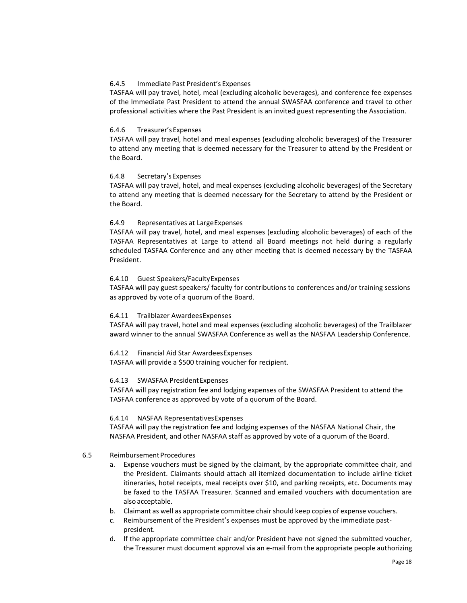# 6.4.5 Immediate Past President's Expenses

TASFAA will pay travel, hotel, meal (excluding alcoholic beverages), and conference fee expenses of the Immediate Past President to attend the annual SWASFAA conference and travel to other professional activities where the Past President is an invited guest representing the Association.

#### 6.4.6 Treasurer'sExpenses

TASFAA will pay travel, hotel and meal expenses (excluding alcoholic beverages) of the Treasurer to attend any meeting that is deemed necessary for the Treasurer to attend by the President or the Board.

#### 6.4.8 Secretary'sExpenses

TASFAA will pay travel, hotel, and meal expenses (excluding alcoholic beverages) of the Secretary to attend any meeting that is deemed necessary for the Secretary to attend by the President or the Board.

# 6.4.9 Representatives at LargeExpenses

TASFAA will pay travel, hotel, and meal expenses (excluding alcoholic beverages) of each of the TASFAA Representatives at Large to attend all Board meetings not held during a regularly scheduled TASFAA Conference and any other meeting that is deemed necessary by the TASFAA President.

#### 6.4.10 Guest Speakers/FacultyExpenses

TASFAA will pay guest speakers/ faculty for contributions to conferences and/or training sessions as approved by vote of a quorum of the Board.

#### 6.4.11 Trailblazer AwardeesExpenses

TASFAA will pay travel, hotel and meal expenses (excluding alcoholic beverages) of the Trailblazer award winner to the annual SWASFAA Conference as well as the NASFAA Leadership Conference.

6.4.12 Financial Aid Star AwardeesExpenses

TASFAA will provide a \$500 training voucher for recipient.

# 6.4.13 SWASFAA PresidentExpenses

TASFAA will pay registration fee and lodging expenses of the SWASFAA President to attend the TASFAA conference as approved by vote of a quorum of the Board.

#### 6.4.14 NASFAA RepresentativesExpenses

TASFAA will pay the registration fee and lodging expenses of the NASFAA National Chair, the NASFAA President, and other NASFAA staff as approved by vote of a quorum of the Board.

#### 6.5 ReimbursementProcedures

- a. Expense vouchers must be signed by the claimant, by the appropriate committee chair, and the President. Claimants should attach all itemized documentation to include airline ticket itineraries, hotel receipts, meal receipts over \$10, and parking receipts, etc. Documents may be faxed to the TASFAA Treasurer. Scanned and emailed vouchers with documentation are also acceptable.
- b. Claimant as well as appropriate committee chair should keep copies of expense vouchers.
- c. Reimbursement of the President's expenses must be approved by the immediate pastpresident.
- d. If the appropriate committee chair and/or President have not signed the submitted voucher, the Treasurer must document approval via an e-mail from the appropriate people authorizing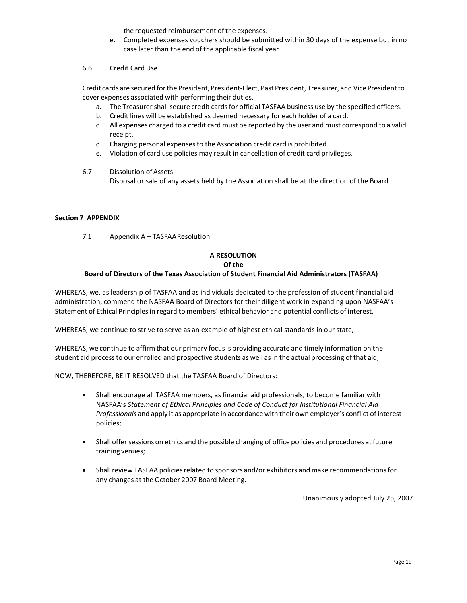the requested reimbursement of the expenses.

- e. Completed expenses vouchers should be submitted within 30 days of the expense but in no case later than the end of the applicable fiscal year.
- 6.6 Credit Card Use

Credit cards are secured forthe President, President-Elect, Past President, Treasurer, and Vice Presidentto cover expenses associated with performing their duties.

- a. The Treasurer shall secure credit cards for official TASFAA business use by the specified officers.
- b. Credit lines will be established as deemed necessary for each holder of a card.
- c. All expenses charged to a credit card must be reported by the user and must correspond to a valid receipt.
- d. Charging personal expensesto the Association credit card is prohibited.
- e. Violation of card use policies may result in cancellation of credit card privileges.
- 6.7 Dissolution ofAssets Disposal or sale of any assets held by the Association shall be at the direction of the Board.

#### <span id="page-18-0"></span>**Section 7 APPENDIX**

7.1 Appendix A – TASFAAResolution

# **A RESOLUTION**

# **Of the**

# **Board of Directors of the Texas Association of Student Financial Aid Administrators (TASFAA)**

WHEREAS, we, as leadership of TASFAA and as individuals dedicated to the profession of student financial aid administration, commend the NASFAA Board of Directors for their diligent work in expanding upon NASFAA's Statement of Ethical Principlesin regard to members' ethical behavior and potential conflicts of interest,

WHEREAS, we continue to strive to serve as an example of highest ethical standards in our state,

WHEREAS, we continue to affirm that our primary focusis providing accurate and timely information on the student aid processto our enrolled and prospective students as well asin the actual processing of that aid,

NOW, THEREFORE, BE IT RESOLVED that the TASFAA Board of Directors:

- Shall encourage all TASFAA members, as financial aid professionals, to become familiar with NASFAA's *Statement of Ethical Principles and Code of Conduct for Institutional Financial Aid Professionals* and apply it as appropriate in accordance with their own employer's conflict of interest policies;
- Shall offer sessions on ethics and the possible changing of office policies and procedures at future training venues;
- Shall review TASFAA policies related to sponsors and/or exhibitors and make recommendations for any changes at the October 2007 Board Meeting.

Unanimously adopted July 25, 2007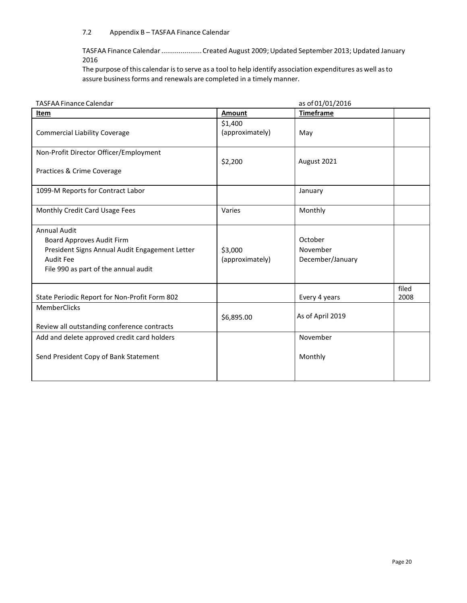# 7.2 Appendix B – TASFAA Finance Calendar

TASFAA Finance Calendar.....................Created August 2009; Updated September 2013; Updated January 2016

The purpose of this calendar is to serve as a tool to help identify association expenditures as well as to assure business forms and renewals are completed in a timely manner.

| <b>TASFAA Finance Calendar</b>                                                                                                                                 |                            | as of 01/01/2016                        |               |
|----------------------------------------------------------------------------------------------------------------------------------------------------------------|----------------------------|-----------------------------------------|---------------|
| Item                                                                                                                                                           | Amount                     | <b>Timeframe</b>                        |               |
| <b>Commercial Liability Coverage</b>                                                                                                                           | \$1,400<br>(approximately) | May                                     |               |
| Non-Profit Director Officer/Employment<br>Practices & Crime Coverage                                                                                           | \$2,200                    | August 2021                             |               |
| 1099-M Reports for Contract Labor                                                                                                                              |                            | January                                 |               |
| Monthly Credit Card Usage Fees                                                                                                                                 | Varies                     | Monthly                                 |               |
| <b>Annual Audit</b><br>Board Approves Audit Firm<br>President Signs Annual Audit Engagement Letter<br><b>Audit Fee</b><br>File 990 as part of the annual audit | \$3,000<br>(approximately) | October<br>November<br>December/January |               |
| State Periodic Report for Non-Profit Form 802<br>MemberClicks<br>Review all outstanding conference contracts                                                   | \$6,895.00                 | Every 4 years<br>As of April 2019       | filed<br>2008 |
| Add and delete approved credit card holders<br>Send President Copy of Bank Statement                                                                           |                            | November<br>Monthly                     |               |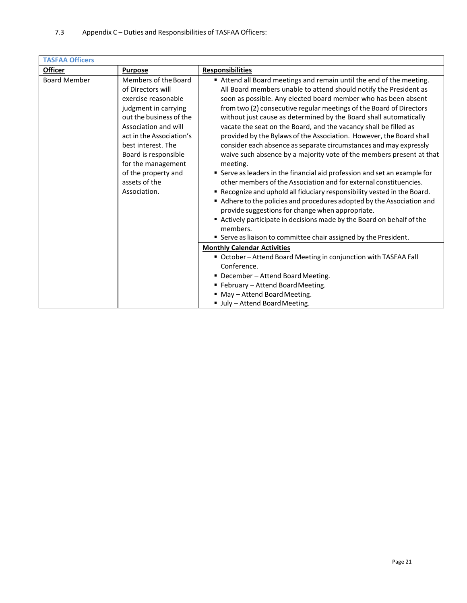| <b>TASFAA Officers</b> |                          |                                                                           |
|------------------------|--------------------------|---------------------------------------------------------------------------|
| <b>Officer</b>         | <b>Purpose</b>           | <b>Responsibilities</b>                                                   |
| <b>Board Member</b>    | Members of the Board     | Attend all Board meetings and remain until the end of the meeting.        |
|                        | of Directors will        | All Board members unable to attend should notify the President as         |
|                        | exercise reasonable      | soon as possible. Any elected board member who has been absent            |
|                        | judgment in carrying     | from two (2) consecutive regular meetings of the Board of Directors       |
|                        | out the business of the  | without just cause as determined by the Board shall automatically         |
|                        | Association and will     | vacate the seat on the Board, and the vacancy shall be filled as          |
|                        | act in the Association's | provided by the Bylaws of the Association. However, the Board shall       |
|                        | best interest. The       | consider each absence as separate circumstances and may expressly         |
|                        | Board is responsible     | waive such absence by a majority vote of the members present at that      |
|                        | for the management       | meeting.                                                                  |
|                        | of the property and      | " Serve as leaders in the financial aid profession and set an example for |
|                        | assets of the            | other members of the Association and for external constituencies.         |
|                        | Association.             | " Recognize and uphold all fiduciary responsibility vested in the Board.  |
|                        |                          | Adhere to the policies and procedures adopted by the Association and      |
|                        |                          | provide suggestions for change when appropriate.                          |
|                        |                          | Actively participate in decisions made by the Board on behalf of the      |
|                        |                          | members.                                                                  |
|                        |                          | " Serve as liaison to committee chair assigned by the President.          |
|                        |                          | <b>Monthly Calendar Activities</b>                                        |
|                        |                          | " October - Attend Board Meeting in conjunction with TASFAA Fall          |
|                        |                          | Conference.                                                               |
|                        |                          | • December - Attend Board Meeting.                                        |
|                        |                          | " February - Attend Board Meeting.                                        |
|                        |                          | " May - Attend Board Meeting.                                             |
|                        |                          | Ully - Attend Board Meeting.                                              |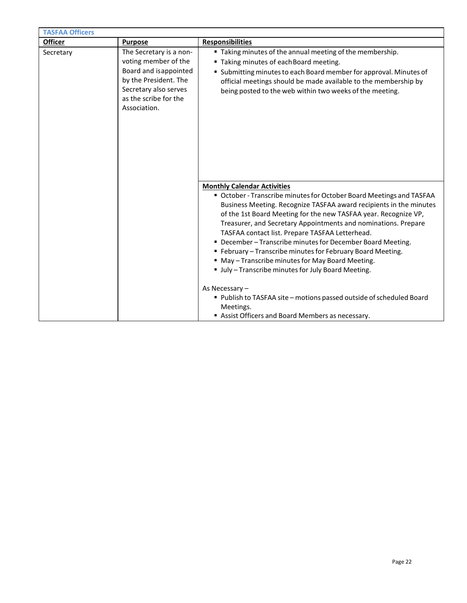| <b>TASFAA Officers</b> |                                                                                                                                                                     |                                                                                                                                                                                                                                                                                                                                                                                                                                                                                                                                                                                                                                                                                                                                                                          |
|------------------------|---------------------------------------------------------------------------------------------------------------------------------------------------------------------|--------------------------------------------------------------------------------------------------------------------------------------------------------------------------------------------------------------------------------------------------------------------------------------------------------------------------------------------------------------------------------------------------------------------------------------------------------------------------------------------------------------------------------------------------------------------------------------------------------------------------------------------------------------------------------------------------------------------------------------------------------------------------|
| <b>Officer</b>         | <b>Purpose</b>                                                                                                                                                      | <b>Responsibilities</b>                                                                                                                                                                                                                                                                                                                                                                                                                                                                                                                                                                                                                                                                                                                                                  |
| Secretary              | The Secretary is a non-<br>voting member of the<br>Board and isappointed<br>by the President. The<br>Secretary also serves<br>as the scribe for the<br>Association. | " Taking minutes of the annual meeting of the membership.<br>" Taking minutes of each Board meeting.<br>" Submitting minutes to each Board member for approval. Minutes of<br>official meetings should be made available to the membership by<br>being posted to the web within two weeks of the meeting.                                                                                                                                                                                                                                                                                                                                                                                                                                                                |
|                        |                                                                                                                                                                     | <b>Monthly Calendar Activities</b><br>• October - Transcribe minutes for October Board Meetings and TASFAA<br>Business Meeting. Recognize TASFAA award recipients in the minutes<br>of the 1st Board Meeting for the new TASFAA year. Recognize VP,<br>Treasurer, and Secretary Appointments and nominations. Prepare<br>TASFAA contact list. Prepare TASFAA Letterhead.<br>" December - Transcribe minutes for December Board Meeting.<br>" February - Transcribe minutes for February Board Meeting.<br>" May - Transcribe minutes for May Board Meeting.<br>Ully - Transcribe minutes for July Board Meeting.<br>As Necessary -<br>Publish to TASFAA site - motions passed outside of scheduled Board<br>Meetings.<br>Assist Officers and Board Members as necessary. |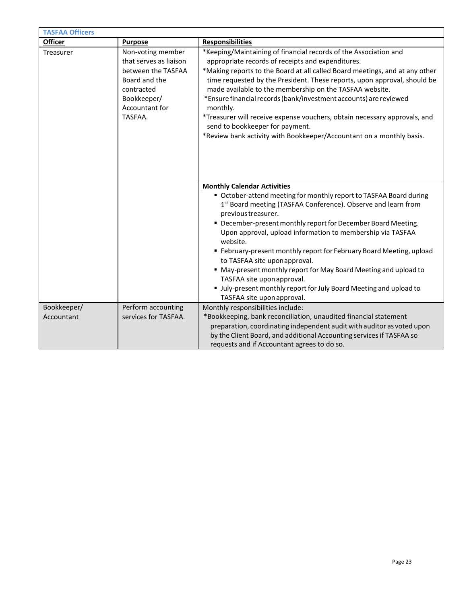| <b>TASFAA Officers</b>                                                                                                                                    |                      |                                                                                                                                                                                                                                                                                                                                                                                                                                                                                                                                                                                                                                                                       |  |  |
|-----------------------------------------------------------------------------------------------------------------------------------------------------------|----------------------|-----------------------------------------------------------------------------------------------------------------------------------------------------------------------------------------------------------------------------------------------------------------------------------------------------------------------------------------------------------------------------------------------------------------------------------------------------------------------------------------------------------------------------------------------------------------------------------------------------------------------------------------------------------------------|--|--|
| <b>Officer</b>                                                                                                                                            | <b>Purpose</b>       | <b>Responsibilities</b>                                                                                                                                                                                                                                                                                                                                                                                                                                                                                                                                                                                                                                               |  |  |
| Non-voting member<br>Treasurer<br>that serves as liaison<br>between the TASFAA<br>Board and the<br>contracted<br>Bookkeeper/<br>Accountant for<br>TASFAA. |                      | *Keeping/Maintaining of financial records of the Association and<br>appropriate records of receipts and expenditures.<br>*Making reports to the Board at all called Board meetings, and at any other<br>time requested by the President. These reports, upon approval, should be<br>made available to the membership on the TASFAA website.<br>*Ensure financial records (bank/investment accounts) are reviewed<br>monthly.<br>*Treasurer will receive expense vouchers, obtain necessary approvals, and<br>send to bookkeeper for payment.<br>*Review bank activity with Bookkeeper/Accountant on a monthly basis.                                                  |  |  |
|                                                                                                                                                           |                      | <b>Monthly Calendar Activities</b><br>• October-attend meeting for monthly report to TASFAA Board during<br>1 <sup>st</sup> Board meeting (TASFAA Conference). Observe and learn from<br>previous treasurer.<br>" December-present monthly report for December Board Meeting.<br>Upon approval, upload information to membership via TASFAA<br>website.<br>" February-present monthly report for February Board Meeting, upload<br>to TASFAA site uponapproval.<br>" May-present monthly report for May Board Meeting and upload to<br>TASFAA site upon approval.<br>" July-present monthly report for July Board Meeting and upload to<br>TASFAA site upon approval. |  |  |
| Bookkeeper/                                                                                                                                               | Perform accounting   | Monthly responsibilities include:                                                                                                                                                                                                                                                                                                                                                                                                                                                                                                                                                                                                                                     |  |  |
| Accountant                                                                                                                                                | services for TASFAA. | *Bookkeeping, bank reconciliation, unaudited financial statement<br>preparation, coordinating independent audit with auditor as voted upon<br>by the Client Board, and additional Accounting services if TASFAA so<br>requests and if Accountant agrees to do so.                                                                                                                                                                                                                                                                                                                                                                                                     |  |  |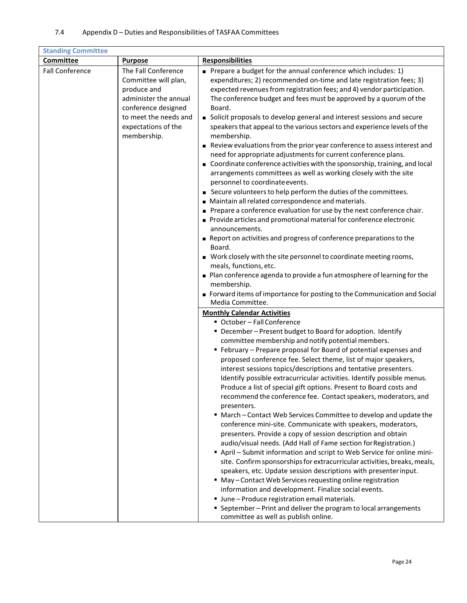| <b>Standing Committee</b> |                                                                                                                                                                           |                                                                                                                                                                                                                                                                                                                                                                                                                                                                                                                                                                                                                                                                                                                                                                                                                                                                                                                                                                                                                                                                                                                                                                                                                                                                                                                                                                                                                                                        |  |
|---------------------------|---------------------------------------------------------------------------------------------------------------------------------------------------------------------------|--------------------------------------------------------------------------------------------------------------------------------------------------------------------------------------------------------------------------------------------------------------------------------------------------------------------------------------------------------------------------------------------------------------------------------------------------------------------------------------------------------------------------------------------------------------------------------------------------------------------------------------------------------------------------------------------------------------------------------------------------------------------------------------------------------------------------------------------------------------------------------------------------------------------------------------------------------------------------------------------------------------------------------------------------------------------------------------------------------------------------------------------------------------------------------------------------------------------------------------------------------------------------------------------------------------------------------------------------------------------------------------------------------------------------------------------------------|--|
| Committee                 | <b>Purpose</b>                                                                                                                                                            | <b>Responsibilities</b>                                                                                                                                                                                                                                                                                                                                                                                                                                                                                                                                                                                                                                                                                                                                                                                                                                                                                                                                                                                                                                                                                                                                                                                                                                                                                                                                                                                                                                |  |
| <b>Fall Conference</b>    | The Fall Conference<br>Committee will plan,<br>produce and<br>administer the annual<br>conference designed<br>to meet the needs and<br>expectations of the<br>membership. | Prepare a budget for the annual conference which includes: 1)<br>expenditures; 2) recommended on-time and late registration fees; 3)<br>expected revenues from registration fees; and 4) vendor participation.<br>The conference budget and fees must be approved by a quorum of the<br>Board.<br>Solicit proposals to develop general and interest sessions and secure<br>speakers that appeal to the various sectors and experience levels of the<br>membership.<br>Review evaluations from the prior year conference to assess interest and<br>need for appropriate adjustments for current conference plans.<br>Coordinate conference activities with the sponsorship, training, and local<br>arrangements committees as well as working closely with the site<br>personnel to coordinate events.<br>Secure volunteers to help perform the duties of the committees.<br>Maintain all related correspondence and materials.<br>Prepare a conference evaluation for use by the next conference chair.<br>Provide articles and promotional material for conference electronic<br>announcements.<br>Report on activities and progress of conference preparations to the<br>Board.<br>■ Work closely with the site personnel to coordinate meeting rooms,<br>meals, functions, etc.<br>Plan conference agenda to provide a fun atmosphere of learning for the<br>membership.<br>Forward items of importance for posting to the Communication and Social |  |
|                           |                                                                                                                                                                           | Media Committee.<br><b>Monthly Calendar Activities</b><br>■ October - Fall Conference<br>" December - Present budget to Board for adoption. Identify<br>committee membership and notify potential members.<br>" February - Prepare proposal for Board of potential expenses and<br>proposed conference fee. Select theme, list of major speakers,<br>interest sessions topics/descriptions and tentative presenters.<br>Identify possible extracurricular activities. Identify possible menus.<br>Produce a list of special gift options. Present to Board costs and<br>recommend the conference fee. Contact speakers, moderators, and<br>presenters.<br>" March - Contact Web Services Committee to develop and update the<br>conference mini-site. Communicate with speakers, moderators,<br>presenters. Provide a copy of session description and obtain<br>audio/visual needs. (Add Hall of Fame section for Registration.)<br>April - Submit information and script to Web Service for online mini-<br>site. Confirm sponsorships for extracurricular activities, breaks, meals,<br>speakers, etc. Update session descriptions with presenter input.<br>■ May - Contact Web Services requesting online registration<br>information and development. Finalize social events.<br>Unne - Produce registration email materials.<br>■ September - Print and deliver the program to local arrangements<br>committee as well as publish online.         |  |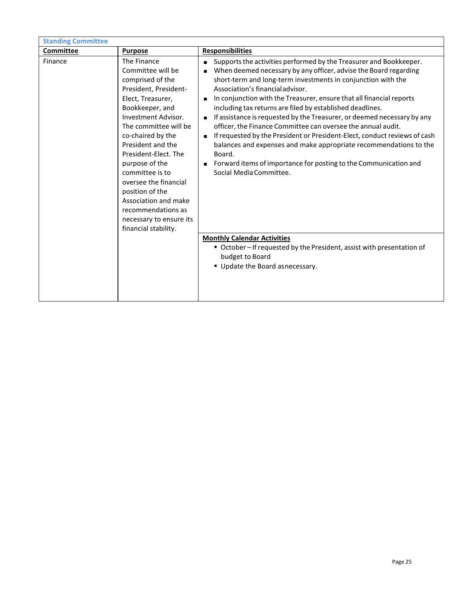| <b>Standing Committee</b> |                                                                                                                                                                                                                                                                                                                                                                                                                                  |                                                                                                                                                                                                                                                                                                                                                                                                                                                                                                                                                                                                                                                                                                                                                                                                                                                               |
|---------------------------|----------------------------------------------------------------------------------------------------------------------------------------------------------------------------------------------------------------------------------------------------------------------------------------------------------------------------------------------------------------------------------------------------------------------------------|---------------------------------------------------------------------------------------------------------------------------------------------------------------------------------------------------------------------------------------------------------------------------------------------------------------------------------------------------------------------------------------------------------------------------------------------------------------------------------------------------------------------------------------------------------------------------------------------------------------------------------------------------------------------------------------------------------------------------------------------------------------------------------------------------------------------------------------------------------------|
| Committee                 | <b>Purpose</b>                                                                                                                                                                                                                                                                                                                                                                                                                   | <b>Responsibilities</b>                                                                                                                                                                                                                                                                                                                                                                                                                                                                                                                                                                                                                                                                                                                                                                                                                                       |
| Finance                   | The Finance<br>Committee will be<br>comprised of the<br>President, President-<br>Elect, Treasurer,<br>Bookkeeper, and<br><b>Investment Advisor.</b><br>The committee will be<br>co-chaired by the<br>President and the<br>President-Elect. The<br>purpose of the<br>committee is to<br>oversee the financial<br>position of the<br>Association and make<br>recommendations as<br>necessary to ensure its<br>financial stability. | Supports the activities performed by the Treasurer and Bookkeeper.<br>$\blacksquare$<br>When deemed necessary by any officer, advise the Board regarding<br>short-term and long-term investments in conjunction with the<br>Association's financial advisor.<br>In conjunction with the Treasurer, ensure that all financial reports<br>$\blacksquare$<br>including tax returns are filed by established deadlines.<br>If assistance is requested by the Treasurer, or deemed necessary by any<br>$\blacksquare$<br>officer, the Finance Committee can oversee the annual audit.<br>If requested by the President or President-Elect, conduct reviews of cash<br>balances and expenses and make appropriate recommendations to the<br>Board.<br>Forward items of importance for posting to the Communication and<br>$\blacksquare$<br>Social Media Committee. |
|                           |                                                                                                                                                                                                                                                                                                                                                                                                                                  | <b>Monthly Calendar Activities</b><br>October-If requested by the President, assist with presentation of<br>budget to Board<br>Update the Board asnecessary.                                                                                                                                                                                                                                                                                                                                                                                                                                                                                                                                                                                                                                                                                                  |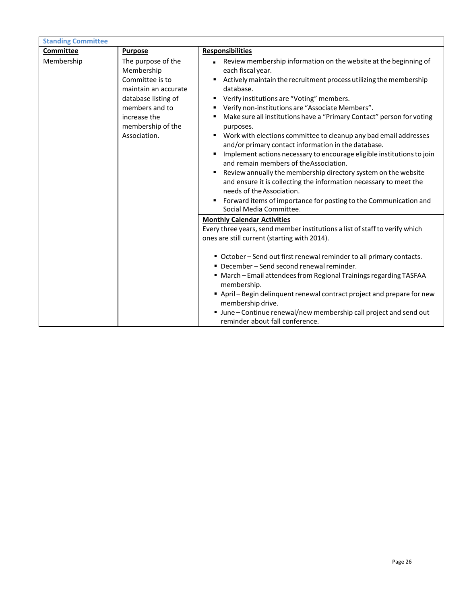| <b>Standing Committee</b> |                                                                                                                                                                           |                                                                                                                                                                                                                                                                                                                                                                                                                                                                                                                                                                                                                                                                                                                                                                                                                                                                                                              |  |  |
|---------------------------|---------------------------------------------------------------------------------------------------------------------------------------------------------------------------|--------------------------------------------------------------------------------------------------------------------------------------------------------------------------------------------------------------------------------------------------------------------------------------------------------------------------------------------------------------------------------------------------------------------------------------------------------------------------------------------------------------------------------------------------------------------------------------------------------------------------------------------------------------------------------------------------------------------------------------------------------------------------------------------------------------------------------------------------------------------------------------------------------------|--|--|
| Committee                 | <b>Purpose</b>                                                                                                                                                            | <b>Responsibilities</b>                                                                                                                                                                                                                                                                                                                                                                                                                                                                                                                                                                                                                                                                                                                                                                                                                                                                                      |  |  |
| Membership                | The purpose of the<br>Membership<br>Committee is to<br>maintain an accurate<br>database listing of<br>members and to<br>increase the<br>membership of the<br>Association. | Review membership information on the website at the beginning of<br>each fiscal year.<br>Actively maintain the recruitment process utilizing the membership<br>ш<br>database.<br>Verify institutions are "Voting" members.<br>ш<br>Verify non-institutions are "Associate Members".<br>٠<br>Make sure all institutions have a "Primary Contact" person for voting<br>purposes.<br>Work with elections committee to cleanup any bad email addresses<br>٠<br>and/or primary contact information in the database.<br>Implement actions necessary to encourage eligible institutions to join<br>٠<br>and remain members of the Association.<br>Review annually the membership directory system on the website<br>and ensure it is collecting the information necessary to meet the<br>needs of the Association.<br>" Forward items of importance for posting to the Communication and<br>Social Media Committee. |  |  |
|                           |                                                                                                                                                                           | <b>Monthly Calendar Activities</b><br>Every three years, send member institutions a list of staff to verify which<br>ones are still current (starting with 2014).<br>■ October – Send out first renewal reminder to all primary contacts.<br>• December - Send second renewal reminder.<br>■ March - Email attendees from Regional Trainings regarding TASFAA<br>membership.<br>April - Begin delinquent renewal contract project and prepare for new<br>membership drive.<br>" June - Continue renewal/new membership call project and send out<br>reminder about fall conference.                                                                                                                                                                                                                                                                                                                          |  |  |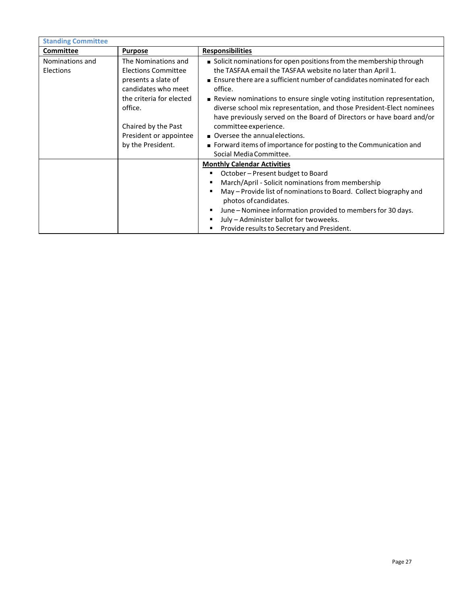| <b>Standing Committee</b>    |                                                                                                                                                                                                       |                                                                                                                                                                                                                                                                                                                                                                                                                                                                                                                                                                                                                   |  |
|------------------------------|-------------------------------------------------------------------------------------------------------------------------------------------------------------------------------------------------------|-------------------------------------------------------------------------------------------------------------------------------------------------------------------------------------------------------------------------------------------------------------------------------------------------------------------------------------------------------------------------------------------------------------------------------------------------------------------------------------------------------------------------------------------------------------------------------------------------------------------|--|
| Committee                    | <b>Purpose</b>                                                                                                                                                                                        | <b>Responsibilities</b>                                                                                                                                                                                                                                                                                                                                                                                                                                                                                                                                                                                           |  |
| Nominations and<br>Elections | The Nominations and<br>Elections Committee<br>presents a slate of<br>candidates who meet<br>the criteria for elected<br>office.<br>Chaired by the Past<br>President or appointee<br>by the President. | ■ Solicit nominations for open positions from the membership through<br>the TASFAA email the TASFAA website no later than April 1.<br>■ Ensure there are a sufficient number of candidates nominated for each<br>office.<br>■ Review nominations to ensure single voting institution representation,<br>diverse school mix representation, and those President-Elect nominees<br>have previously served on the Board of Directors or have board and/or<br>committee experience.<br>Oversee the annual elections.<br>■ Forward items of importance for posting to the Communication and<br>Social Media Committee. |  |
|                              |                                                                                                                                                                                                       | <b>Monthly Calendar Activities</b><br>October - Present budget to Board<br>March/April - Solicit nominations from membership<br>May - Provide list of nominations to Board. Collect biography and<br>photos of candidates.<br>June – Nominee information provided to members for 30 days.<br>July - Administer ballot for twoweeks.<br>Provide results to Secretary and President.                                                                                                                                                                                                                                |  |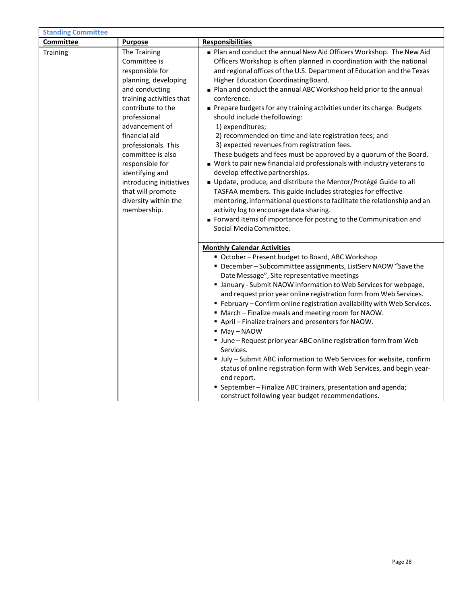| <b>Standing Committee</b> |                                                                                                                                                                                                                                                                                                                                                                        |                                                                                                                                                                                                                                                                                                                                                                                                                                                                                                                                                                                                                                                                                                                                                                                                                                                                                                                                                                                                                                                                                                                                         |
|---------------------------|------------------------------------------------------------------------------------------------------------------------------------------------------------------------------------------------------------------------------------------------------------------------------------------------------------------------------------------------------------------------|-----------------------------------------------------------------------------------------------------------------------------------------------------------------------------------------------------------------------------------------------------------------------------------------------------------------------------------------------------------------------------------------------------------------------------------------------------------------------------------------------------------------------------------------------------------------------------------------------------------------------------------------------------------------------------------------------------------------------------------------------------------------------------------------------------------------------------------------------------------------------------------------------------------------------------------------------------------------------------------------------------------------------------------------------------------------------------------------------------------------------------------------|
| Committee                 | <b>Purpose</b>                                                                                                                                                                                                                                                                                                                                                         | <b>Responsibilities</b>                                                                                                                                                                                                                                                                                                                                                                                                                                                                                                                                                                                                                                                                                                                                                                                                                                                                                                                                                                                                                                                                                                                 |
| Training                  | The Training<br>Committee is<br>responsible for<br>planning, developing<br>and conducting<br>training activities that<br>contribute to the<br>professional<br>advancement of<br>financial aid<br>professionals. This<br>committee is also<br>responsible for<br>identifying and<br>introducing initiatives<br>that will promote<br>diversity within the<br>membership. | Plan and conduct the annual New Aid Officers Workshop. The New Aid<br>Officers Workshop is often planned in coordination with the national<br>and regional offices of the U.S. Department of Education and the Texas<br>Higher Education Coordinating Board.<br>■ Plan and conduct the annual ABC Workshop held prior to the annual<br>conference.<br>Prepare budgets for any training activities under its charge. Budgets<br>should include the following:<br>1) expenditures;<br>2) recommended on-time and late registration fees; and<br>3) expected revenues from registration fees.<br>These budgets and fees must be approved by a quorum of the Board.<br>■ Work to pair new financial aid professionals with industry veterans to<br>develop effective partnerships.<br>Update, produce, and distribute the Mentor/Protégé Guide to all<br>TASFAA members. This guide includes strategies for effective<br>mentoring, informational questions to facilitate the relationship and an<br>activity log to encourage data sharing.<br>Forward items of importance for posting to the Communication and<br>Social Media Committee. |
|                           |                                                                                                                                                                                                                                                                                                                                                                        | <b>Monthly Calendar Activities</b><br>" October - Present budget to Board, ABC Workshop<br>" December - Subcommittee assignments, ListServ NAOW "Save the<br>Date Message", Site representative meetings<br>" January - Submit NAOW information to Web Services for webpage,<br>and request prior year online registration form from Web Services.<br>■ February – Confirm online registration availability with Web Services.<br>" March - Finalize meals and meeting room for NAOW.<br>April - Finalize trainers and presenters for NAOW.<br>$May-NAOW$<br>Unne - Request prior year ABC online registration form from Web<br>Services.<br>Ully - Submit ABC information to Web Services for website, confirm<br>status of online registration form with Web Services, and begin year-<br>end report.<br>" September - Finalize ABC trainers, presentation and agenda;<br>construct following year budget recommendations.                                                                                                                                                                                                            |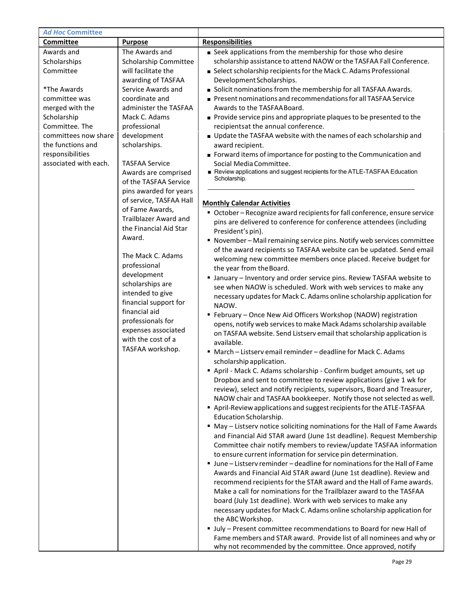| <b>Ad Hoc Committee</b>                   |                              |                                                                                                                                            |
|-------------------------------------------|------------------------------|--------------------------------------------------------------------------------------------------------------------------------------------|
| Committee                                 | <b>Purpose</b>               | <b>Responsibilities</b>                                                                                                                    |
| Awards and                                | The Awards and               | Seek applications from the membership for those who desire                                                                                 |
| Scholarships                              | Scholarship Committee        | scholarship assistance to attend NAOW or the TASFAA Fall Conference.                                                                       |
| Committee                                 | will facilitate the          | Select scholarship recipients for the Mack C. Adams Professional                                                                           |
|                                           | awarding of TASFAA           | Development Scholarships.                                                                                                                  |
| *The Awards                               | Service Awards and           | Solicit nominations from the membership for all TASFAA Awards.                                                                             |
| committee was                             | coordinate and               | Present nominations and recommendations for all TASFAA Service                                                                             |
| merged with the                           | administer the TASFAA        | Awards to the TASFAABoard.                                                                                                                 |
| Scholarship                               | Mack C. Adams                | Provide service pins and appropriate plaques to be presented to the                                                                        |
| Committee. The                            | professional                 | recipientsat the annual conference.                                                                                                        |
| committees now share<br>the functions and | development                  | Update the TASFAA website with the names of each scholarship and                                                                           |
|                                           | scholarships.                | award recipient.                                                                                                                           |
| responsibilities<br>associated with each. | <b>TASFAA Service</b>        | Forward items of importance for posting to the Communication and<br>Social Media Committee.                                                |
|                                           | Awards are comprised         | Review applications and suggest recipients for the ATLE-TASFAA Education                                                                   |
|                                           | of the TASFAA Service        | Scholarship.                                                                                                                               |
|                                           | pins awarded for years       |                                                                                                                                            |
|                                           | of service, TASFAA Hall      |                                                                                                                                            |
|                                           | of Fame Awards,              | <b>Monthly Calendar Activities</b>                                                                                                         |
|                                           | <b>Trailblazer Award and</b> | • October - Recognize award recipients for fall conference, ensure service                                                                 |
|                                           | the Financial Aid Star       | pins are delivered to conference for conference attendees (including<br>President's pin).                                                  |
|                                           | Award.                       | " November-Mail remaining service pins. Notify web services committee                                                                      |
|                                           |                              | of the award recipients so TASFAA website can be updated. Send email                                                                       |
|                                           | The Mack C. Adams            | welcoming new committee members once placed. Receive budget for                                                                            |
|                                           | professional                 | the year from the Board.                                                                                                                   |
|                                           | development                  | I January - Inventory and order service pins. Review TASFAA website to                                                                     |
|                                           | scholarships are             | see when NAOW is scheduled. Work with web services to make any                                                                             |
|                                           | intended to give             | necessary updates for Mack C. Adams online scholarship application for                                                                     |
|                                           | financial support for        | NAOW.                                                                                                                                      |
|                                           | financial aid                | " February - Once New Aid Officers Workshop (NAOW) registration                                                                            |
|                                           | professionals for            | opens, notify web services to make Mack Adams scholarship available                                                                        |
|                                           | expenses associated          | on TASFAA website. Send Listserv email that scholarship application is                                                                     |
|                                           | with the cost of a           | available.                                                                                                                                 |
|                                           | TASFAA workshop.             | " March - Listserv email reminder - deadline for Mack C. Adams                                                                             |
|                                           |                              | scholarship application.                                                                                                                   |
|                                           |                              | April - Mack C. Adams scholarship - Confirm budget amounts, set up                                                                         |
|                                           |                              | Dropbox and sent to committee to review applications (give 1 wk for                                                                        |
|                                           |                              | review), select and notify recipients, supervisors, Board and Treasurer,                                                                   |
|                                           |                              | NAOW chair and TASFAA bookkeeper. Notify those not selected as well.                                                                       |
|                                           |                              | April-Review applications and suggest recipients for the ATLE-TASFAA                                                                       |
|                                           |                              | Education Scholarship.                                                                                                                     |
|                                           |                              | • May - Listserv notice soliciting nominations for the Hall of Fame Awards                                                                 |
|                                           |                              | and Financial Aid STAR award (June 1st deadline). Request Membership                                                                       |
|                                           |                              | Committee chair notify members to review/update TASFAA information                                                                         |
|                                           |                              | to ensure current information for service pin determination.<br>" June - Listserv reminder - deadline for nominations for the Hall of Fame |
|                                           |                              | Awards and Financial Aid STAR award (June 1st deadline). Review and                                                                        |
|                                           |                              | recommend recipients for the STAR award and the Hall of Fame awards.                                                                       |
|                                           |                              | Make a call for nominations for the Trailblazer award to the TASFAA                                                                        |
|                                           |                              | board (July 1st deadline). Work with web services to make any                                                                              |
|                                           |                              | necessary updates for Mack C. Adams online scholarship application for                                                                     |
|                                           |                              | the ABC Workshop.                                                                                                                          |
|                                           |                              | Ully - Present committee recommendations to Board for new Hall of                                                                          |
|                                           |                              | Fame members and STAR award. Provide list of all nominees and why or                                                                       |
|                                           |                              | why not recommended by the committee. Once approved, notify                                                                                |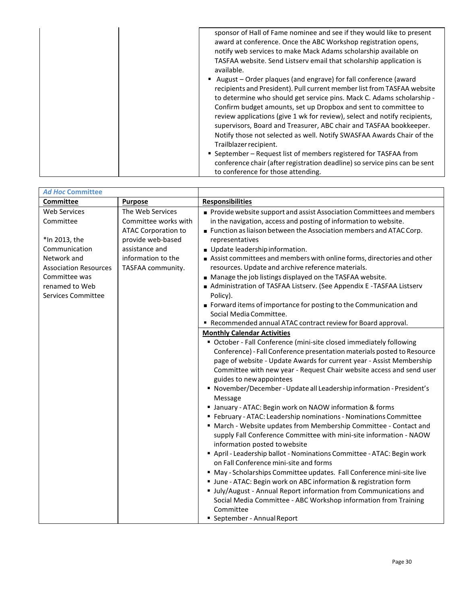| sponsor of Hall of Fame nominee and see if they would like to present<br>award at conference. Once the ABC Workshop registration opens,<br>notify web services to make Mack Adams scholarship available on<br>TASFAA website. Send Listserv email that scholarship application is<br>available.                                                                                                                                                                                                                                              |
|----------------------------------------------------------------------------------------------------------------------------------------------------------------------------------------------------------------------------------------------------------------------------------------------------------------------------------------------------------------------------------------------------------------------------------------------------------------------------------------------------------------------------------------------|
| August – Order plaques (and engrave) for fall conference (award<br>recipients and President). Pull current member list from TASFAA website<br>to determine who should get service pins. Mack C. Adams scholarship -<br>Confirm budget amounts, set up Dropbox and sent to committee to<br>review applications (give 1 wk for review), select and notify recipients,<br>supervisors, Board and Treasurer, ABC chair and TASFAA bookkeeper.<br>Notify those not selected as well. Notify SWASFAA Awards Chair of the<br>Trailblazer recipient. |
| ■ September – Request list of members registered for TASFAA from<br>conference chair (after registration deadline) so service pins can be sent<br>to conference for those attending.                                                                                                                                                                                                                                                                                                                                                         |

| <b>Ad Hoc Committee</b>                     |                                                                        |                                                                                                                                                                                                                                                                                                                                                                                                                                                                                                                                                                                                                                                                                                                                                                                                                                                                                                                                                                                                                                                                                                                                 |
|---------------------------------------------|------------------------------------------------------------------------|---------------------------------------------------------------------------------------------------------------------------------------------------------------------------------------------------------------------------------------------------------------------------------------------------------------------------------------------------------------------------------------------------------------------------------------------------------------------------------------------------------------------------------------------------------------------------------------------------------------------------------------------------------------------------------------------------------------------------------------------------------------------------------------------------------------------------------------------------------------------------------------------------------------------------------------------------------------------------------------------------------------------------------------------------------------------------------------------------------------------------------|
| <b>Committee</b>                            | <b>Purpose</b>                                                         | <b>Responsibilities</b>                                                                                                                                                                                                                                                                                                                                                                                                                                                                                                                                                                                                                                                                                                                                                                                                                                                                                                                                                                                                                                                                                                         |
| <b>Web Services</b><br>Committee            | The Web Services<br>Committee works with<br><b>ATAC Corporation to</b> | Provide website support and assist Association Committees and members<br>in the navigation, access and posting of information to website.<br>Function as liaison between the Association members and ATAC Corp.                                                                                                                                                                                                                                                                                                                                                                                                                                                                                                                                                                                                                                                                                                                                                                                                                                                                                                                 |
| *In 2013, the                               | provide web-based                                                      | representatives                                                                                                                                                                                                                                                                                                                                                                                                                                                                                                                                                                                                                                                                                                                                                                                                                                                                                                                                                                                                                                                                                                                 |
| Communication                               | assistance and                                                         | Update leadership information.                                                                                                                                                                                                                                                                                                                                                                                                                                                                                                                                                                                                                                                                                                                                                                                                                                                                                                                                                                                                                                                                                                  |
| Network and<br><b>Association Resources</b> | information to the<br>TASFAA community.                                | Assist committees and members with online forms, directories and other<br>resources. Update and archive reference materials.                                                                                                                                                                                                                                                                                                                                                                                                                                                                                                                                                                                                                                                                                                                                                                                                                                                                                                                                                                                                    |
| Committee was                               |                                                                        | Manage the job listings displayed on the TASFAA website.                                                                                                                                                                                                                                                                                                                                                                                                                                                                                                                                                                                                                                                                                                                                                                                                                                                                                                                                                                                                                                                                        |
| renamed to Web<br>Services Committee        |                                                                        | Administration of TASFAA Listserv. (See Appendix E - TASFAA Listserv<br>Policy).                                                                                                                                                                                                                                                                                                                                                                                                                                                                                                                                                                                                                                                                                                                                                                                                                                                                                                                                                                                                                                                |
|                                             |                                                                        | Forward items of importance for posting to the Communication and<br>Social Media Committee.                                                                                                                                                                                                                                                                                                                                                                                                                                                                                                                                                                                                                                                                                                                                                                                                                                                                                                                                                                                                                                     |
|                                             |                                                                        | " Recommended annual ATAC contract review for Board approval.                                                                                                                                                                                                                                                                                                                                                                                                                                                                                                                                                                                                                                                                                                                                                                                                                                                                                                                                                                                                                                                                   |
|                                             |                                                                        | <b>Monthly Calendar Activities</b>                                                                                                                                                                                                                                                                                                                                                                                                                                                                                                                                                                                                                                                                                                                                                                                                                                                                                                                                                                                                                                                                                              |
|                                             |                                                                        | • October - Fall Conference (mini-site closed immediately following<br>Conference) - Fall Conference presentation materials posted to Resource<br>page of website - Update Awards for current year - Assist Membership<br>Committee with new year - Request Chair website access and send user<br>guides to new appointees<br>■ November/December - Update all Leadership information - President's<br>Message<br>" January - ATAC: Begin work on NAOW information & forms<br>" February - ATAC: Leadership nominations - Nominations Committee<br>" March - Website updates from Membership Committee - Contact and<br>supply Fall Conference Committee with mini-site information - NAOW<br>information posted to website<br>April - Leadership ballot - Nominations Committee - ATAC: Begin work<br>on Fall Conference mini-site and forms<br>" May - Scholarships Committee updates. Fall Conference mini-site live<br>Unne - ATAC: Begin work on ABC information & registration form<br>Ully/August - Annual Report information from Communications and<br>Social Media Committee - ABC Workshop information from Training |
|                                             |                                                                        | Committee<br>■ September - Annual Report                                                                                                                                                                                                                                                                                                                                                                                                                                                                                                                                                                                                                                                                                                                                                                                                                                                                                                                                                                                                                                                                                        |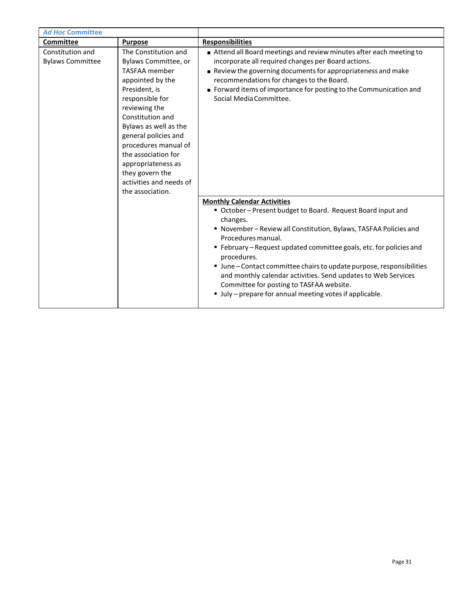| <b>Ad Hoc Committee</b>                     |                                                                                                                                                                                                                                                                                                                                                           |                                                                                                                                                                                                                                                                                                                                                                                                                                                                                                                                                                                                                                                                                                                                                                                                                                                                                       |
|---------------------------------------------|-----------------------------------------------------------------------------------------------------------------------------------------------------------------------------------------------------------------------------------------------------------------------------------------------------------------------------------------------------------|---------------------------------------------------------------------------------------------------------------------------------------------------------------------------------------------------------------------------------------------------------------------------------------------------------------------------------------------------------------------------------------------------------------------------------------------------------------------------------------------------------------------------------------------------------------------------------------------------------------------------------------------------------------------------------------------------------------------------------------------------------------------------------------------------------------------------------------------------------------------------------------|
| Committee                                   | <b>Purpose</b>                                                                                                                                                                                                                                                                                                                                            | <b>Responsibilities</b>                                                                                                                                                                                                                                                                                                                                                                                                                                                                                                                                                                                                                                                                                                                                                                                                                                                               |
| Constitution and<br><b>Bylaws Committee</b> | The Constitution and<br>Bylaws Committee, or<br><b>TASFAA</b> member<br>appointed by the<br>President, is<br>responsible for<br>reviewing the<br>Constitution and<br>Bylaws as well as the<br>general policies and<br>procedures manual of<br>the association for<br>appropriateness as<br>they govern the<br>activities and needs of<br>the association. | Attend all Board meetings and review minutes after each meeting to<br>incorporate all required changes per Board actions.<br>Review the governing documents for appropriateness and make<br>recommendations for changes to the Board.<br>Forward items of importance for posting to the Communication and<br>Social Media Committee.<br><b>Monthly Calendar Activities</b><br>" October-Present budget to Board. Request Board input and<br>changes.<br>" November-Review all Constitution, Bylaws, TASFAA Policies and<br>Procedures manual.<br>" February - Request updated committee goals, etc. for policies and<br>procedures.<br>■ June – Contact committee chairs to update purpose, responsibilities<br>and monthly calendar activities. Send updates to Web Services<br>Committee for posting to TASFAA website.<br>• July - prepare for annual meeting votes if applicable. |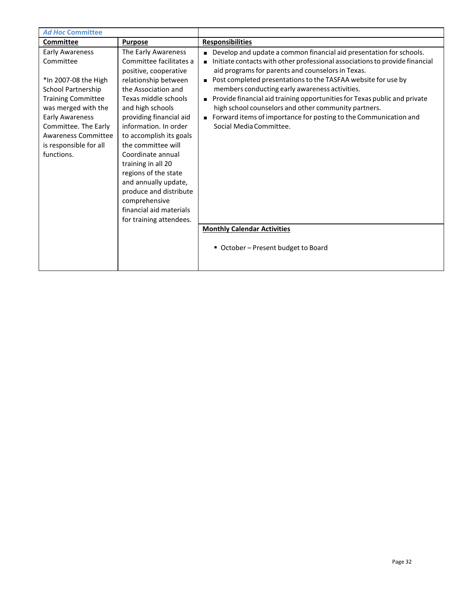| <b>Ad Hoc Committee</b>                                                                                                                                                                                                                                       |                                                                                                                                                                                                                                                                                                                                                                                                                                                                     |                                                                                                                                                                                                                                                                                                                                                                                                                                                                                                                                                                                  |
|---------------------------------------------------------------------------------------------------------------------------------------------------------------------------------------------------------------------------------------------------------------|---------------------------------------------------------------------------------------------------------------------------------------------------------------------------------------------------------------------------------------------------------------------------------------------------------------------------------------------------------------------------------------------------------------------------------------------------------------------|----------------------------------------------------------------------------------------------------------------------------------------------------------------------------------------------------------------------------------------------------------------------------------------------------------------------------------------------------------------------------------------------------------------------------------------------------------------------------------------------------------------------------------------------------------------------------------|
| Committee                                                                                                                                                                                                                                                     | <b>Purpose</b>                                                                                                                                                                                                                                                                                                                                                                                                                                                      | <b>Responsibilities</b>                                                                                                                                                                                                                                                                                                                                                                                                                                                                                                                                                          |
| <b>Early Awareness</b><br>Committee<br>*In 2007-08 the High<br>School Partnership<br><b>Training Committee</b><br>was merged with the<br><b>Early Awareness</b><br>Committee. The Early<br><b>Awareness Committee</b><br>is responsible for all<br>functions. | The Early Awareness<br>Committee facilitates a<br>positive, cooperative<br>relationship between<br>the Association and<br>Texas middle schools<br>and high schools<br>providing financial aid<br>information. In order<br>to accomplish its goals<br>the committee will<br>Coordinate annual<br>training in all 20<br>regions of the state<br>and annually update,<br>produce and distribute<br>comprehensive<br>financial aid materials<br>for training attendees. | Develop and update a common financial aid presentation for schools.<br>Initiate contacts with other professional associations to provide financial<br>aid programs for parents and counselors in Texas.<br>Post completed presentations to the TASFAA website for use by<br>members conducting early awareness activities.<br>Provide financial aid training opportunities for Texas public and private<br>high school counselors and other community partners.<br>Forward items of importance for posting to the Communication and<br>$\blacksquare$<br>Social Media Committee. |
|                                                                                                                                                                                                                                                               |                                                                                                                                                                                                                                                                                                                                                                                                                                                                     | <b>Monthly Calendar Activities</b>                                                                                                                                                                                                                                                                                                                                                                                                                                                                                                                                               |
|                                                                                                                                                                                                                                                               |                                                                                                                                                                                                                                                                                                                                                                                                                                                                     | ■ October – Present budget to Board                                                                                                                                                                                                                                                                                                                                                                                                                                                                                                                                              |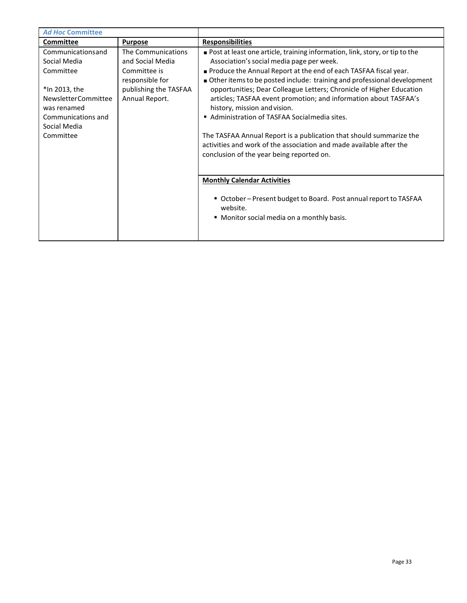| <b>Purpose</b>        | <b>Responsibilities</b>                                                       |
|-----------------------|-------------------------------------------------------------------------------|
| The Communications    | ■ Post at least one article, training information, link, story, or tip to the |
| and Social Media      | Association's social media page per week.                                     |
| Committee is          | ■ Produce the Annual Report at the end of each TASFAA fiscal year.            |
| responsible for       | Other items to be posted include: training and professional development       |
| publishing the TASFAA | opportunities; Dear Colleague Letters; Chronicle of Higher Education          |
| Annual Report.        | articles; TASFAA event promotion; and information about TASFAA's              |
|                       | history, mission and vision.                                                  |
|                       | Administration of TASFAA Socialmedia sites.                                   |
|                       |                                                                               |
|                       | The TASFAA Annual Report is a publication that should summarize the           |
|                       | activities and work of the association and made available after the           |
|                       | conclusion of the year being reported on.                                     |
|                       |                                                                               |
|                       |                                                                               |
|                       | <b>Monthly Calendar Activities</b>                                            |
|                       | ■ October – Present budget to Board. Post annual report to TASFAA             |
|                       | website.                                                                      |
|                       | • Monitor social media on a monthly basis.                                    |
|                       |                                                                               |
|                       |                                                                               |
|                       |                                                                               |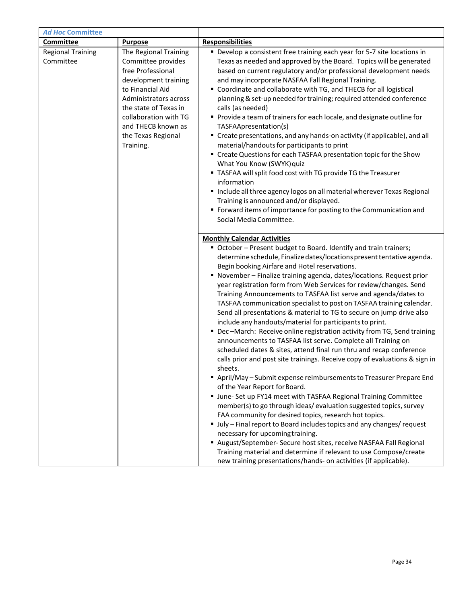| <b>Ad Hoc Committee</b>               |                                                                                                                                                                                                                                                  |                                                                                                                                                                                                                                                                                                                                                                                                                                                                                                                                                                                                                                                                                                                                                                                                                                                                                                                                                                                                                                                                                                                                                                                                                                                                                                                                                                                                                                                                                                                                                                                                                  |
|---------------------------------------|--------------------------------------------------------------------------------------------------------------------------------------------------------------------------------------------------------------------------------------------------|------------------------------------------------------------------------------------------------------------------------------------------------------------------------------------------------------------------------------------------------------------------------------------------------------------------------------------------------------------------------------------------------------------------------------------------------------------------------------------------------------------------------------------------------------------------------------------------------------------------------------------------------------------------------------------------------------------------------------------------------------------------------------------------------------------------------------------------------------------------------------------------------------------------------------------------------------------------------------------------------------------------------------------------------------------------------------------------------------------------------------------------------------------------------------------------------------------------------------------------------------------------------------------------------------------------------------------------------------------------------------------------------------------------------------------------------------------------------------------------------------------------------------------------------------------------------------------------------------------------|
| Committee                             | <b>Purpose</b>                                                                                                                                                                                                                                   | <b>Responsibilities</b>                                                                                                                                                                                                                                                                                                                                                                                                                                                                                                                                                                                                                                                                                                                                                                                                                                                                                                                                                                                                                                                                                                                                                                                                                                                                                                                                                                                                                                                                                                                                                                                          |
| <b>Regional Training</b><br>Committee | The Regional Training<br>Committee provides<br>free Professional<br>development training<br>to Financial Aid<br>Administrators across<br>the state of Texas in<br>collaboration with TG<br>and THECB known as<br>the Texas Regional<br>Training. | • Develop a consistent free training each year for 5-7 site locations in<br>Texas as needed and approved by the Board. Topics will be generated<br>based on current regulatory and/or professional development needs<br>and may incorporate NASFAA Fall Regional Training.<br>" Coordinate and collaborate with TG, and THECB for all logistical<br>planning & set-up needed for training; required attended conference<br>calls (as needed)<br>Provide a team of trainers for each locale, and designate outline for<br>TASFAApresentation(s)<br>" Create presentations, and any hands-on activity (if applicable), and all<br>material/handouts for participants to print<br>" Create Questions for each TASFAA presentation topic for the Show<br>What You Know (SWYK) quiz<br>" TASFAA will split food cost with TG provide TG the Treasurer<br>information<br>Include all three agency logos on all material wherever Texas Regional<br>Training is announced and/or displayed.<br>" Forward items of importance for posting to the Communication and<br>Social Media Committee.                                                                                                                                                                                                                                                                                                                                                                                                                                                                                                                            |
|                                       |                                                                                                                                                                                                                                                  | <b>Monthly Calendar Activities</b><br>" October - Present budget to Board. Identify and train trainers;<br>determine schedule, Finalize dates/locations present tentative agenda.<br>Begin booking Airfare and Hotel reservations.<br>• November - Finalize training agenda, dates/locations. Request prior<br>year registration form from Web Services for review/changes. Send<br>Training Announcements to TASFAA list serve and agenda/dates to<br>TASFAA communication specialist to post on TASFAA training calendar.<br>Send all presentations & material to TG to secure on jump drive also<br>include any handouts/material for participants to print.<br>• Dec-March: Receive online registration activity from TG, Send training<br>announcements to TASFAA list serve. Complete all Training on<br>scheduled dates & sites, attend final run thru and recap conference<br>calls prior and post site trainings. Receive copy of evaluations & sign in<br>sheets.<br>April/May - Submit expense reimbursements to Treasurer Prepare End<br>of the Year Report for Board.<br>" June- Set up FY14 meet with TASFAA Regional Training Committee<br>member(s) to go through ideas/evaluation suggested topics, survey<br>FAA community for desired topics, research hot topics.<br>Ully - Final report to Board includes topics and any changes/ request<br>necessary for upcoming training.<br>August/September- Secure host sites, receive NASFAA Fall Regional<br>Training material and determine if relevant to use Compose/create<br>new training presentations/hands- on activities (if applicable). |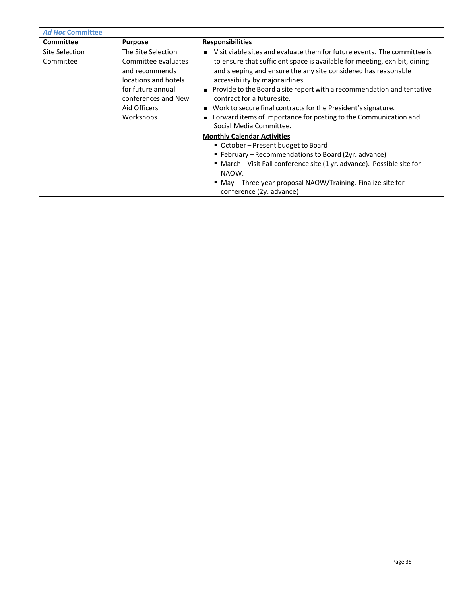| <b>Ad Hoc Committee</b>                                                                                                                                                                      |                |                                                                                                                                                                                                                                                                                                                                                                                                                                                                                                                                          |
|----------------------------------------------------------------------------------------------------------------------------------------------------------------------------------------------|----------------|------------------------------------------------------------------------------------------------------------------------------------------------------------------------------------------------------------------------------------------------------------------------------------------------------------------------------------------------------------------------------------------------------------------------------------------------------------------------------------------------------------------------------------------|
| Committee                                                                                                                                                                                    | <b>Purpose</b> | <b>Responsibilities</b>                                                                                                                                                                                                                                                                                                                                                                                                                                                                                                                  |
| Site Selection<br>The Site Selection<br>Committee evaluates<br>Committee<br>and recommends<br>locations and hotels<br>for future annual<br>conferences and New<br>Aid Officers<br>Workshops. |                | Visit viable sites and evaluate them for future events. The committee is<br>to ensure that sufficient space is available for meeting, exhibit, dining<br>and sleeping and ensure the any site considered has reasonable<br>accessibility by major airlines.<br>■ Provide to the Board a site report with a recommendation and tentative<br>contract for a future site.<br>■ Work to secure final contracts for the President's signature.<br>Forward items of importance for posting to the Communication and<br>Social Media Committee. |
|                                                                                                                                                                                              |                | <b>Monthly Calendar Activities</b><br>■ October – Present budget to Board<br>■ February – Recommendations to Board (2yr. advance)<br>" March - Visit Fall conference site (1 yr. advance). Possible site for<br>NAOW.<br>" May - Three year proposal NAOW/Training. Finalize site for<br>conference (2y. advance)                                                                                                                                                                                                                        |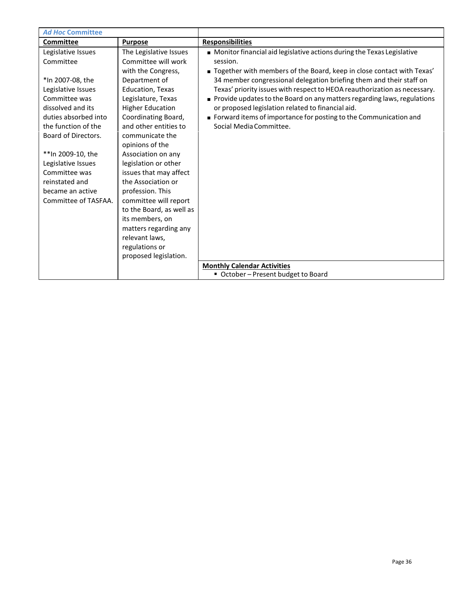| <b>Ad Hoc Committee</b> |                          |                                                                           |
|-------------------------|--------------------------|---------------------------------------------------------------------------|
| <b>Committee</b>        | <b>Purpose</b>           | <b>Responsibilities</b>                                                   |
| Legislative Issues      | The Legislative Issues   | Monitor financial aid legislative actions during the Texas Legislative    |
| Committee               | Committee will work      | session.                                                                  |
|                         | with the Congress,       | ■ Together with members of the Board, keep in close contact with Texas'   |
| *In 2007-08, the        | Department of            | 34 member congressional delegation briefing them and their staff on       |
| Legislative Issues      | <b>Education, Texas</b>  | Texas' priority issues with respect to HEOA reauthorization as necessary. |
| Committee was           | Legislature, Texas       | Provide updates to the Board on any matters regarding laws, regulations   |
| dissolved and its       | <b>Higher Education</b>  | or proposed legislation related to financial aid.                         |
| duties absorbed into    | Coordinating Board,      | • Forward items of importance for posting to the Communication and        |
| the function of the     | and other entities to    | Social Media Committee.                                                   |
| Board of Directors.     | communicate the          |                                                                           |
|                         | opinions of the          |                                                                           |
| **In 2009-10, the       | Association on any       |                                                                           |
| Legislative Issues      | legislation or other     |                                                                           |
| Committee was           | issues that may affect   |                                                                           |
| reinstated and          | the Association or       |                                                                           |
| became an active        | profession. This         |                                                                           |
| Committee of TASFAA.    | committee will report    |                                                                           |
|                         | to the Board, as well as |                                                                           |
|                         | its members, on          |                                                                           |
|                         | matters regarding any    |                                                                           |
|                         | relevant laws,           |                                                                           |
|                         | regulations or           |                                                                           |
|                         | proposed legislation.    |                                                                           |
|                         |                          | <b>Monthly Calendar Activities</b>                                        |
|                         |                          | ■ October – Present budget to Board                                       |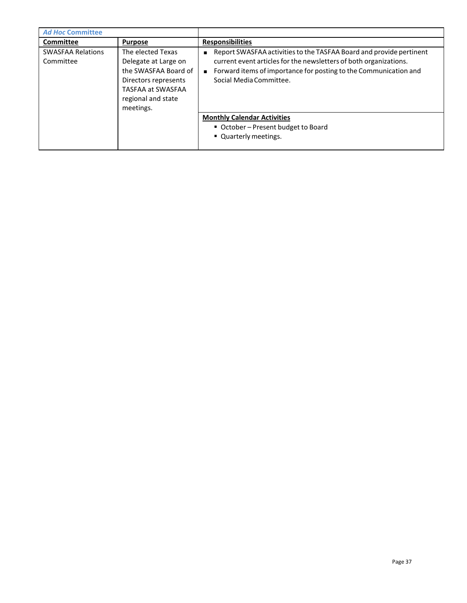| <b>Ad Hoc Committee</b>               |                                                                                                                                                   |                                                                                                                                                                                                                                                           |
|---------------------------------------|---------------------------------------------------------------------------------------------------------------------------------------------------|-----------------------------------------------------------------------------------------------------------------------------------------------------------------------------------------------------------------------------------------------------------|
| <b>Committee</b>                      | <b>Purpose</b>                                                                                                                                    | <b>Responsibilities</b>                                                                                                                                                                                                                                   |
| <b>SWASFAA Relations</b><br>Committee | The elected Texas<br>Delegate at Large on<br>the SWASFAA Board of<br>Directors represents<br>TASFAA at SWASFAA<br>regional and state<br>meetings. | Report SWASFAA activities to the TASFAA Board and provide pertinent<br>current event articles for the newsletters of both organizations.<br>Forward items of importance for posting to the Communication and<br>$\blacksquare$<br>Social Media Committee. |
|                                       |                                                                                                                                                   | <b>Monthly Calendar Activities</b><br>■ October – Present budget to Board<br>• Quarterly meetings.                                                                                                                                                        |
|                                       |                                                                                                                                                   |                                                                                                                                                                                                                                                           |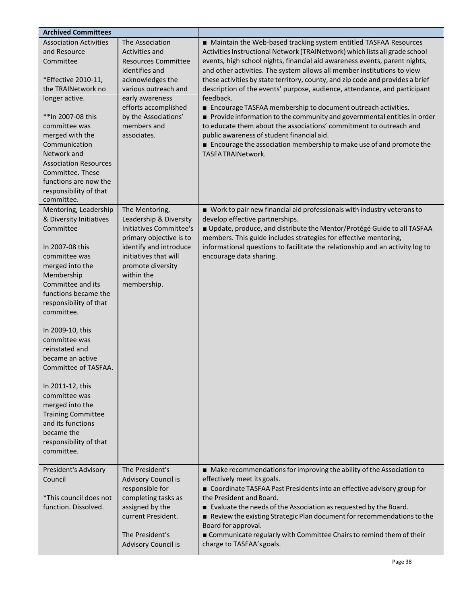| <b>Archived Committees</b>                                                                                                                                                                                                                                                                                                                                                                                                                                                                |                                                                                                                                                                                                                                |                                                                                                                                                                                                                                                                                                                                                                                                                                                                                                                                                                                                                                                                                                                                                                                                                                                               |
|-------------------------------------------------------------------------------------------------------------------------------------------------------------------------------------------------------------------------------------------------------------------------------------------------------------------------------------------------------------------------------------------------------------------------------------------------------------------------------------------|--------------------------------------------------------------------------------------------------------------------------------------------------------------------------------------------------------------------------------|---------------------------------------------------------------------------------------------------------------------------------------------------------------------------------------------------------------------------------------------------------------------------------------------------------------------------------------------------------------------------------------------------------------------------------------------------------------------------------------------------------------------------------------------------------------------------------------------------------------------------------------------------------------------------------------------------------------------------------------------------------------------------------------------------------------------------------------------------------------|
| <b>Association Activities</b><br>and Resource<br>Committee<br>*Effective 2010-11,<br>the TRAINetwork no<br>longer active.<br>**In 2007-08 this<br>committee was<br>merged with the<br>Communication<br>Network and<br><b>Association Resources</b><br>Committee. These<br>functions are now the<br>responsibility of that<br>committee.                                                                                                                                                   | The Association<br>Activities and<br><b>Resources Committee</b><br>identifies and<br>acknowledges the<br>various outreach and<br>early awareness<br>efforts accomplished<br>by the Associations'<br>members and<br>associates. | ■ Maintain the Web-based tracking system entitled TASFAA Resources<br>Activities Instructional Network (TRAINetwork) which lists all grade school<br>events, high school nights, financial aid awareness events, parent nights,<br>and other activities. The system allows all member institutions to view<br>these activities by state territory, county, and zip code and provides a brief<br>description of the events' purpose, audience, attendance, and participant<br>feedback.<br>■ Encourage TASFAA membership to document outreach activities.<br>Provide information to the community and governmental entities in order<br>to educate them about the associations' commitment to outreach and<br>public awareness of student financial aid.<br>■ Encourage the association membership to make use of and promote the<br><b>TASFA TRAINetwork.</b> |
| Mentoring, Leadership<br>& Diversity Initiatives<br>Committee<br>In 2007-08 this<br>committee was<br>merged into the<br>Membership<br>Committee and its<br>functions became the<br>responsibility of that<br>committee.<br>In 2009-10, this<br>committee was<br>reinstated and<br>became an active<br>Committee of TASFAA<br>In 2011-12, this<br>committee was<br>merged into the<br><b>Training Committee</b><br>and its functions<br>became the<br>responsibility of that<br>committee. | The Mentoring,<br>Leadership & Diversity<br>Initiatives Committee's<br>primary objective is to<br>identify and introduce<br>initiatives that will<br>promote diversity<br>within the<br>membership.                            | Work to pair new financial aid professionals with industry veterans to<br>develop effective partnerships.<br>Update, produce, and distribute the Mentor/Protégé Guide to all TASFAA<br>members. This guide includes strategies for effective mentoring,<br>informational questions to facilitate the relationship and an activity log to<br>encourage data sharing.                                                                                                                                                                                                                                                                                                                                                                                                                                                                                           |
| President's Advisory<br>Council<br>*This council does not<br>function. Dissolved.                                                                                                                                                                                                                                                                                                                                                                                                         | The President's<br>Advisory Council is<br>responsible for<br>completing tasks as<br>assigned by the<br>current President.<br>The President's<br>Advisory Council is                                                            | ■ Make recommendations for improving the ability of the Association to<br>effectively meet its goals.<br>■ Coordinate TASFAA Past Presidents into an effective advisory group for<br>the President and Board.<br>Evaluate the needs of the Association as requested by the Board.<br>Review the existing Strategic Plan document for recommendations to the<br>Board for approval.<br>■ Communicate regularly with Committee Chairs to remind them of their<br>charge to TASFAA's goals.                                                                                                                                                                                                                                                                                                                                                                      |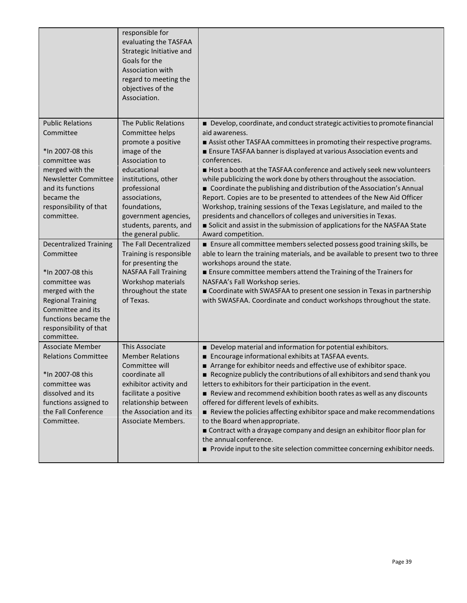|                                                       | responsible for<br>evaluating the TASFAA<br>Strategic Initiative and<br>Goals for the<br>Association with<br>regard to meeting the<br>objectives of the<br>Association. |                                                                                                                                                 |
|-------------------------------------------------------|-------------------------------------------------------------------------------------------------------------------------------------------------------------------------|-------------------------------------------------------------------------------------------------------------------------------------------------|
| <b>Public Relations</b>                               | The Public Relations                                                                                                                                                    | ■ Develop, coordinate, and conduct strategic activities to promote financial                                                                    |
| Committee                                             | Committee helps                                                                                                                                                         | aid awareness.                                                                                                                                  |
|                                                       | promote a positive                                                                                                                                                      | Assist other TASFAA committees in promoting their respective programs.                                                                          |
| *In 2007-08 this                                      | image of the                                                                                                                                                            | Ensure TASFAA banner is displayed at various Association events and                                                                             |
| committee was                                         | Association to                                                                                                                                                          | conferences.                                                                                                                                    |
| merged with the<br><b>Newsletter Committee</b>        | educational<br>institutions, other                                                                                                                                      | Host a booth at the TASFAA conference and actively seek new volunteers<br>while publicizing the work done by others throughout the association. |
| and its functions                                     | professional                                                                                                                                                            | Coordinate the publishing and distribution of the Association's Annual                                                                          |
| became the                                            | associations,                                                                                                                                                           | Report. Copies are to be presented to attendees of the New Aid Officer                                                                          |
| responsibility of that                                | foundations,                                                                                                                                                            | Workshop, training sessions of the Texas Legislature, and mailed to the                                                                         |
| committee.                                            | government agencies,                                                                                                                                                    | presidents and chancellors of colleges and universities in Texas.                                                                               |
|                                                       | students, parents, and                                                                                                                                                  | Solicit and assist in the submission of applications for the NASFAA State                                                                       |
|                                                       | the general public.                                                                                                                                                     | Award competition.                                                                                                                              |
| <b>Decentralized Training</b>                         | The Fall Decentralized                                                                                                                                                  | Ensure all committee members selected possess good training skills, be                                                                          |
| Committee                                             | Training is responsible                                                                                                                                                 | able to learn the training materials, and be available to present two to three                                                                  |
| *In 2007-08 this                                      | for presenting the<br><b>NASFAA Fall Training</b>                                                                                                                       | workshops around the state.<br>■ Ensure committee members attend the Training of the Trainers for                                               |
| committee was                                         | Workshop materials                                                                                                                                                      | NASFAA's Fall Workshop series.                                                                                                                  |
| merged with the                                       | throughout the state                                                                                                                                                    | Coordinate with SWASFAA to present one session in Texas in partnership                                                                          |
| <b>Regional Training</b>                              | of Texas.                                                                                                                                                               | with SWASFAA. Coordinate and conduct workshops throughout the state.                                                                            |
| Committee and its                                     |                                                                                                                                                                         |                                                                                                                                                 |
| functions became the                                  |                                                                                                                                                                         |                                                                                                                                                 |
| responsibility of that                                |                                                                                                                                                                         |                                                                                                                                                 |
| committee.                                            |                                                                                                                                                                         |                                                                                                                                                 |
| <b>Associate Member</b><br><b>Relations Committee</b> | This Associate<br><b>Member Relations</b>                                                                                                                               | Develop material and information for potential exhibitors.<br>■ Encourage informational exhibits at TASFAA events.                              |
|                                                       | Committee will                                                                                                                                                          | Arrange for exhibitor needs and effective use of exhibitor space.                                                                               |
| *In 2007-08 this                                      | coordinate all                                                                                                                                                          | Recognize publicly the contributions of all exhibitors and send thank you                                                                       |
| committee was                                         | exhibitor activity and                                                                                                                                                  | letters to exhibitors for their participation in the event.                                                                                     |
| dissolved and its                                     | facilitate a positive                                                                                                                                                   | Review and recommend exhibition booth rates as well as any discounts                                                                            |
| functions assigned to                                 | relationship between                                                                                                                                                    | offered for different levels of exhibits.                                                                                                       |
| the Fall Conference                                   | the Association and its                                                                                                                                                 | Review the policies affecting exhibitor space and make recommendations                                                                          |
| Committee.                                            | Associate Members.                                                                                                                                                      | to the Board when appropriate.<br>Contract with a drayage company and design an exhibitor floor plan for                                        |
|                                                       |                                                                                                                                                                         | the annual conference.                                                                                                                          |
|                                                       |                                                                                                                                                                         | Provide input to the site selection committee concerning exhibitor needs.                                                                       |
|                                                       |                                                                                                                                                                         |                                                                                                                                                 |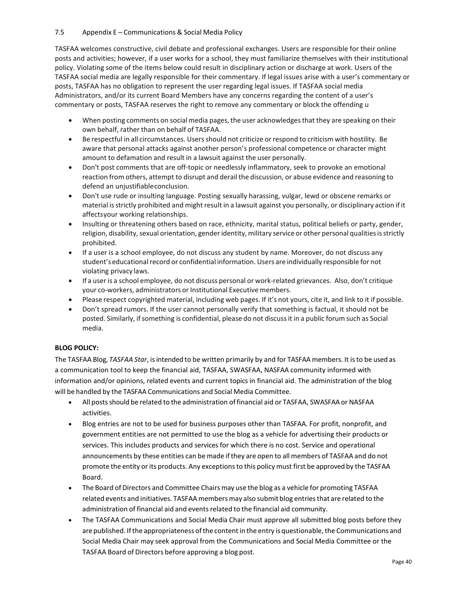# 7.5 Appendix E – Communications & Social Media Policy

TASFAA welcomes constructive, civil debate and professional exchanges. Users are responsible for their online posts and activities; however, if a user works for a school, they must familiarize themselves with their institutional policy. Violating some of the items below could result in disciplinary action or discharge at work. Users of the TASFAA social media are legally responsible for their commentary. If legal issues arise with a user's commentary or posts, TASFAA has no obligation to represent the user regarding legal issues. If TASFAA social media Administrators, and/or its current Board Members have any concerns regarding the content of a user's commentary or posts, TASFAA reserves the right to remove any commentary or block the offending u

- When posting comments on social media pages, the user acknowledges that they are speaking on their own behalf, rather than on behalf of TASFAA.
- Be respectful in all circumstances. Usersshould not criticize or respond to criticism with hostility. Be aware that personal attacks against another person's professional competence or character might amount to defamation and result in a lawsuit against the user personally.
- Don't post comments that are off-topic or needlessly inflammatory, seek to provoke an emotional reaction from others, attempt to disrupt and derail the discussion, or abuse evidence and reasoning to defend an unjustifiableconclusion.
- Don't use rude or insulting language. Posting sexually harassing, vulgar, lewd or obscene remarks or material is strictly prohibited and might result in a lawsuit against you personally, or disciplinary action if it affectsyour working relationships.
- Insulting or threatening others based on race, ethnicity, marital status, political beliefs or party, gender, religion, disability, sexual orientation, gender identity, military service or other personal qualities is strictly prohibited.
- If a user is a school employee, do not discuss any student by name. Moreover, do not discuss any student's educational record or confidential information. Users are individually responsible for not violating privacy laws.
- If a user is a school employee, do not discuss personal or work-related grievances. Also, don't critique your co-workers, administrators or Institutional Executive members.
- Please respect copyrighted material, including web pages. If it's not yours, cite it, and link to it if possible.
- Don't spread rumors. If the user cannot personally verify that something is factual, it should not be posted. Similarly, ifsomething is confidential, please do not discussit in a public forum such as Social media.

# **BLOG POLICY:**

The TASFAA Blog, *TASFAA Star*, isintended to be written primarily by and for TASFAAmembers. It isto be used as a communication tool to keep the financial aid, TASFAA, SWASFAA, NASFAA community informed with information and/or opinions, related events and current topics in financial aid. The administration of the blog will be handled by the TASFAA Communications and Social Media Committee.

- All posts should be related to the administration of financial aid or TASFAA, SWASFAA or NASFAA activities.
- Blog entries are not to be used for business purposes other than TASFAA. For profit, nonprofit, and government entities are not permitted to use the blog as a vehicle for advertising their products or services. This includes products and services for which there is no cost. Service and operational announcements by these entities can be made ifthey are open to all members of TASFAA and do not promote the entity or its products. Any exceptions to this policy must first be approved by the TASFAA Board.
- The Board of Directors and Committee Chairs may use the blog as a vehicle for promoting TASFAA related events and initiatives. TASFAA members may also submit blog entries that are related to the administration of financial aid and eventsrelated to the financial aid community.
- The TASFAA Communications and Social Media Chair must approve all submitted blog posts before they are published. If the appropriateness of the content in the entry is questionable, the Communications and Social Media Chair may seek approval from the Communications and Social Media Committee or the TASFAA Board of Directors before approving a blog post.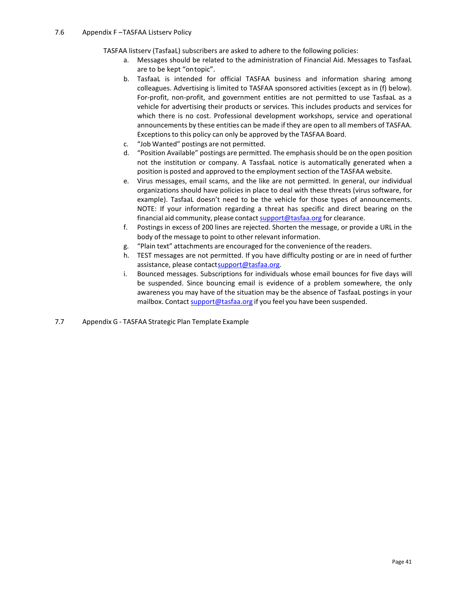TASFAA listserv (TasfaaL) subscribers are asked to adhere to the following policies:

- a. Messages should be related to the administration of Financial Aid. Messages to TasfaaL are to be kept "ontopic".
- b. TasfaaL is intended for official TASFAA business and information sharing among colleagues. Advertising is limited to TASFAA sponsored activities (except as in (f) below). For-profit, non-profit, and government entities are not permitted to use TasfaaL as a vehicle for advertising their products or services. This includes products and services for which there is no cost. Professional development workshops, service and operational announcements by these entities can be made if they are open to all members of TASFAA. Exceptions to this policy can only be approved by the TASFAA Board.
- c. "Job Wanted" postings are not permitted.
- d. "Position Available" postings are permitted. The emphasis should be on the open position not the institution or company. A TassfaaL notice is automatically generated when a position is posted and approved to the employment section of the TASFAA website.
- e. Virus messages, email scams, and the like are not permitted. In general, our individual organizations should have policies in place to deal with these threats (virus software, for example). TasfaaL doesn't need to be the vehicle for those types of announcements. NOTE: If your information regarding a threat has specific and direct bearing on the financial aid community, please contact [support@tasfaa.org](mailto:support@tasfaa.org) for clearance.
- f. Postings in excess of 200 lines are rejected. Shorten the message, or provide a URL in the body of the message to point to other relevant information.
- g. "Plain text" attachments are encouraged for the convenience of the readers.
- h. TEST messages are not permitted. If you have difficulty posting or are in need of further assistance, please contac[tsupport@tasfaa.org.](mailto:support@tasfaa.org)
- i. Bounced messages. Subscriptions for individuals whose email bounces for five days will be suspended. Since bouncing email is evidence of a problem somewhere, the only awareness you may have of the situation may be the absence of TasfaaL postings in your mailbox. Contact [support@tasfaa.org](mailto:support@tasfaa.org) if you feel you have been suspended.
- 7.7 Appendix G TASFAA Strategic Plan Template Example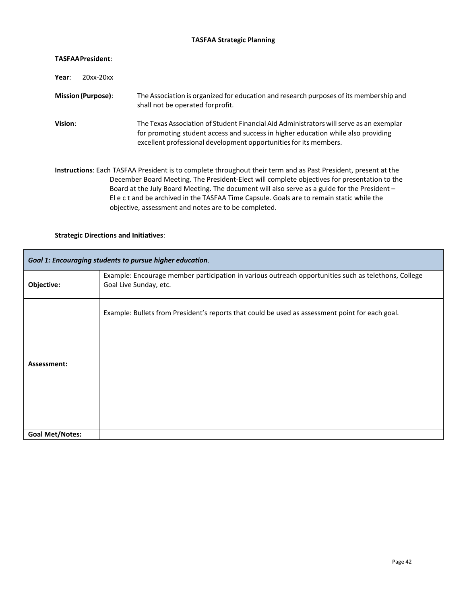# **TASFAA Strategic Planning**

| <b>TASFAAPresident:</b>   |                                                                                                                                                                                                                                                                                                                                                                                                                                                                  |
|---------------------------|------------------------------------------------------------------------------------------------------------------------------------------------------------------------------------------------------------------------------------------------------------------------------------------------------------------------------------------------------------------------------------------------------------------------------------------------------------------|
| 20xx-20xx<br>Year:        |                                                                                                                                                                                                                                                                                                                                                                                                                                                                  |
| <b>Mission (Purpose):</b> | The Association is organized for education and research purposes of its membership and<br>shall not be operated for profit.                                                                                                                                                                                                                                                                                                                                      |
| Vision:                   | The Texas Association of Student Financial Aid Administrators will serve as an exemplar<br>for promoting student access and success in higher education while also providing<br>excellent professional development opportunities for its members.                                                                                                                                                                                                                |
|                           | Instructions: Each TASFAA President is to complete throughout their term and as Past President, present at the<br>December Board Meeting. The President-Elect will complete objectives for presentation to the<br>Board at the July Board Meeting. The document will also serve as a guide for the President -<br>Elect and be archived in the TASFAA Time Capsule. Goals are to remain static while the<br>objective, assessment and notes are to be completed. |

# **Strategic Directions and Initiatives**:

| Goal 1: Encouraging students to pursue higher education. |                                                                                                                                |
|----------------------------------------------------------|--------------------------------------------------------------------------------------------------------------------------------|
| Objective:                                               | Example: Encourage member participation in various outreach opportunities such as telethons, College<br>Goal Live Sunday, etc. |
| Assessment:                                              | Example: Bullets from President's reports that could be used as assessment point for each goal.                                |
| <b>Goal Met/Notes:</b>                                   |                                                                                                                                |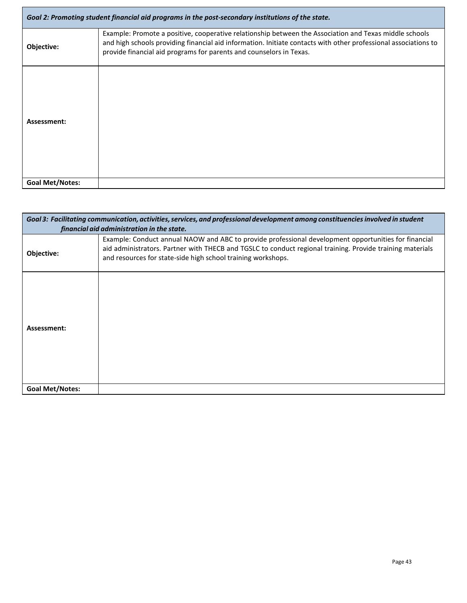| Goal 2: Promoting student financial aid programs in the post-secondary institutions of the state. |                                                                                                                                                                                                                                                                                                  |
|---------------------------------------------------------------------------------------------------|--------------------------------------------------------------------------------------------------------------------------------------------------------------------------------------------------------------------------------------------------------------------------------------------------|
| Objective:                                                                                        | Example: Promote a positive, cooperative relationship between the Association and Texas middle schools<br>and high schools providing financial aid information. Initiate contacts with other professional associations to<br>provide financial aid programs for parents and counselors in Texas. |
| Assessment:                                                                                       |                                                                                                                                                                                                                                                                                                  |
| <b>Goal Met/Notes:</b>                                                                            |                                                                                                                                                                                                                                                                                                  |

| Goal 3: Facilitating communication, activities, services, and professional development among constituencies involved in student<br>financial aid administration in the state. |                                                                                                                                                                                                                                                                                   |  |
|-------------------------------------------------------------------------------------------------------------------------------------------------------------------------------|-----------------------------------------------------------------------------------------------------------------------------------------------------------------------------------------------------------------------------------------------------------------------------------|--|
| Objective:                                                                                                                                                                    | Example: Conduct annual NAOW and ABC to provide professional development opportunities for financial<br>aid administrators. Partner with THECB and TGSLC to conduct regional training. Provide training materials<br>and resources for state-side high school training workshops. |  |
| Assessment:                                                                                                                                                                   |                                                                                                                                                                                                                                                                                   |  |
| <b>Goal Met/Notes:</b>                                                                                                                                                        |                                                                                                                                                                                                                                                                                   |  |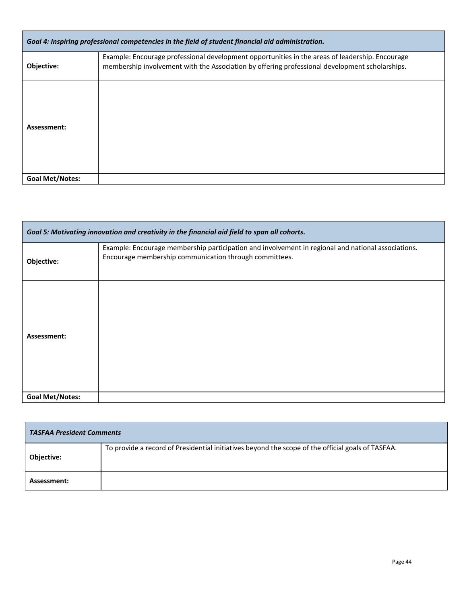| Goal 4: Inspiring professional competencies in the field of student financial aid administration. |                                                                                                                                                                                                   |  |
|---------------------------------------------------------------------------------------------------|---------------------------------------------------------------------------------------------------------------------------------------------------------------------------------------------------|--|
| Objective:                                                                                        | Example: Encourage professional development opportunities in the areas of leadership. Encourage<br>membership involvement with the Association by offering professional development scholarships. |  |
| Assessment:                                                                                       |                                                                                                                                                                                                   |  |
| <b>Goal Met/Notes:</b>                                                                            |                                                                                                                                                                                                   |  |

| Goal 5: Motivating innovation and creativity in the financial aid field to span all cohorts. |                                                                                                                                                              |
|----------------------------------------------------------------------------------------------|--------------------------------------------------------------------------------------------------------------------------------------------------------------|
| Objective:                                                                                   | Example: Encourage membership participation and involvement in regional and national associations.<br>Encourage membership communication through committees. |
| Assessment:                                                                                  |                                                                                                                                                              |
| <b>Goal Met/Notes:</b>                                                                       |                                                                                                                                                              |

| <b>TASFAA President Comments</b> |                                                                                                   |
|----------------------------------|---------------------------------------------------------------------------------------------------|
| <b>Objective:</b>                | To provide a record of Presidential initiatives beyond the scope of the official goals of TASFAA. |
| Assessment:                      |                                                                                                   |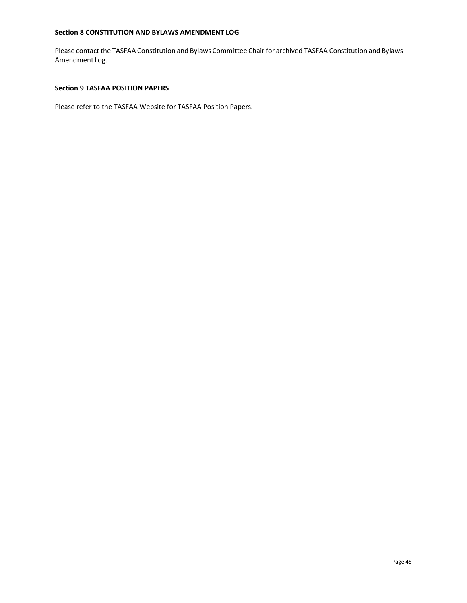# <span id="page-44-0"></span>**Section 8 CONSTITUTION AND BYLAWS AMENDMENT LOG**

Please contact the TASFAA Constitution and Bylaws Committee Chair for archived TASFAA Constitution and Bylaws Amendment Log.

# <span id="page-44-1"></span>**Section 9 TASFAA POSITION PAPERS**

Please refer to the TASFAA Website for TASFAA Position Papers.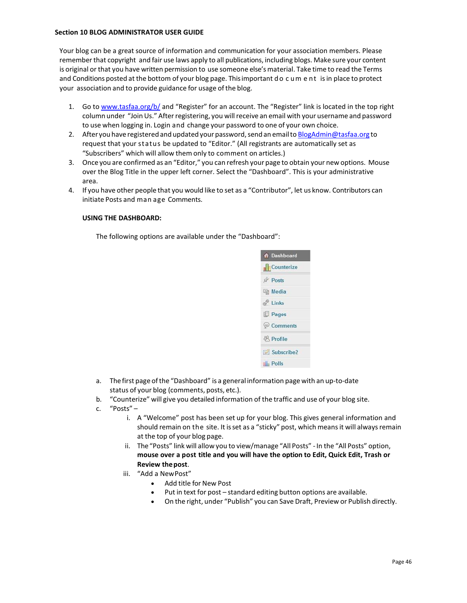#### <span id="page-45-0"></span>**Section 10 BLOG ADMINISTRATOR USER GUIDE**

Your blog can be a great source of information and communication for your association members. Please rememberthat copyright and fair use laws apply to all publications, including blogs. Make sure your content is original or that you have written permission to use someone else's material. Take time to read the Terms and Conditions posted at the bottom of your blog page. This important do cument is in place to protect your association and to provide guidance for usage of the blog.

- 1. Go to [www.tasfaa.org/b/](http://www.tasfaa.org/b/) and "Register" for an account. The "Register" link is located in the top right column under "Join Us." After registering, you will receive an email with your username and password to use when logging in. Login and change your password to one of your own choice.
- 2. After you have registered and updated your password, send an email to [BlogAdmin@tasfaa.org](mailto:BlogAdmin@tasfaa.org) to request that your status be updated to "Editor." (All registrants are automatically set as "Subscribers" which will allow them only to comment on articles.)
- 3. Once you are confirmed as an "Editor," you can refresh your page to obtain your new options. Mouse over the Blog Title in the upper left corner. Select the "Dashboard". This is your administrative area.
- 4. If you have other people that you would like to set as a "Contributor", let us know. Contributors can initiate Posts and man age Comments.

# **USING THE DASHBOARD:**

The following options are available under the "Dashboard":



- a. The first page ofthe "Dashboard" is a general information page with an up-to-date status of your blog (comments, posts, etc.).
- b. "Counterize" will give you detailed information of the traffic and use of your blog site.
- c. "Posts"
	- i. A "Welcome" post has been set up for your blog. This gives general information and should remain on the site. It is set as a "sticky" post, which means it will always remain at the top of your blog page.
	- ii. The "Posts" link will allow you to view/manage "All Posts" -In the "All Posts" option, **mouse over a post title and you will have the option to Edit, Quick Edit, Trash or Review thepost**.
	- iii. "Add a NewPost"
		- Add title for New Post
		- Put in text for post standard editing button options are available.
		- On the right, under "Publish" you can Save Draft, Preview or Publish directly.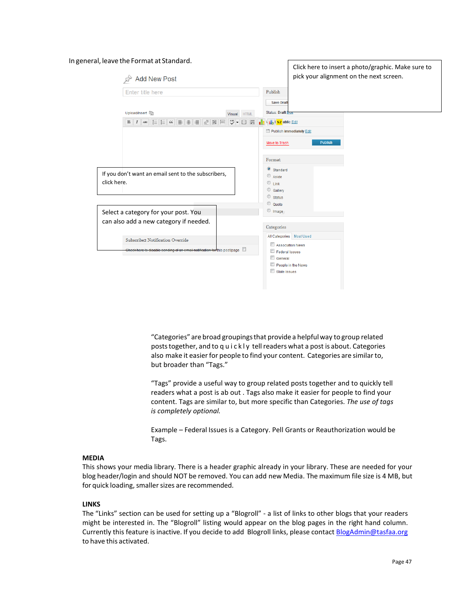#### In general, leave the Format at Standard.



"Categories" are broad groupingsthat provide a helpfulway to group related posts together, and to q u i c k l y tell readers what a post is about. Categories also make it easier for people to find your content. Categories are similar to, but broader than "Tags."

"Tags" provide a useful way to group related posts together and to quickly tell readers what a post is ab out . Tags also make it easier for people to find your content. Tags are similar to, but more specific than Categories. *The use of tags is completely optional.*

Example – Federal Issues is a Category. Pell Grants or Reauthorization would be Tags.

#### **MEDIA**

This shows your media library. There is a header graphic already in your library. These are needed for your blog header/login and should NOT be removed. You can add new Media. The maximum file size is 4 MB, but for quick loading, smaller sizes are recommended.

#### **LINKS**

The "Links" section can be used for setting up a "Blogroll" - a list of links to other blogs that your readers might be interested in. The "Blogroll" listing would appear on the blog pages in the right hand column. Currently this feature is inactive. If you decide to add Blogroll links, please contact [BlogAdmin@tasfaa.org](mailto:BlogAdmin@tasfaa.org) to have this activated.